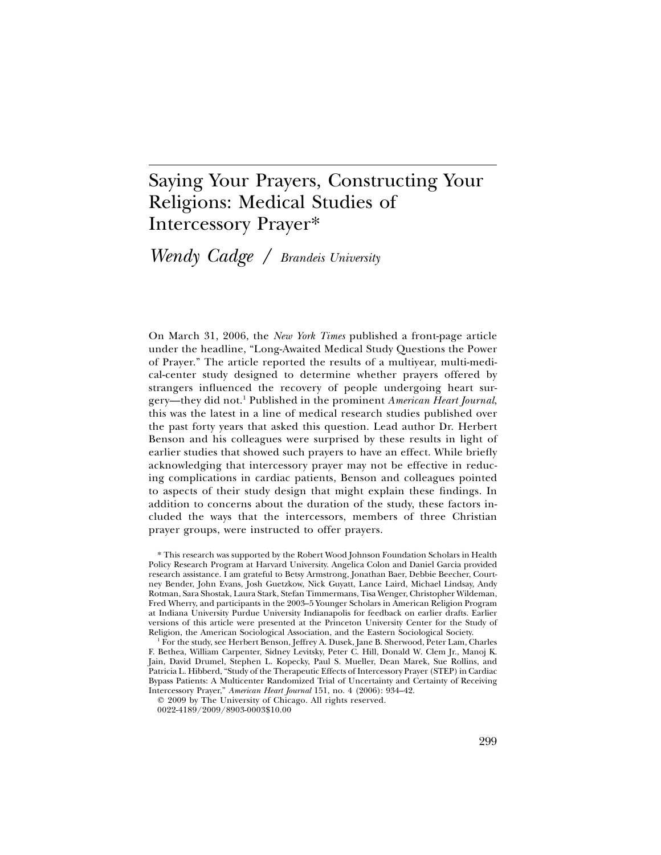# Saying Your Prayers, Constructing Your Religions: Medical Studies of Intercessory Prayer\*

## *Wendy Cadge / Brandeis University*

On March 31, 2006, the *New York Times* published a front-page article under the headline, "Long-Awaited Medical Study Questions the Power of Prayer." The article reported the results of a multiyear, multi-medical-center study designed to determine whether prayers offered by strangers influenced the recovery of people undergoing heart surgery—they did not.<sup>1</sup> Published in the prominent *American Heart Journal*, this was the latest in a line of medical research studies published over the past forty years that asked this question. Lead author Dr. Herbert Benson and his colleagues were surprised by these results in light of earlier studies that showed such prayers to have an effect. While briefly acknowledging that intercessory prayer may not be effective in reducing complications in cardiac patients, Benson and colleagues pointed to aspects of their study design that might explain these findings. In addition to concerns about the duration of the study, these factors included the ways that the intercessors, members of three Christian prayer groups, were instructed to offer prayers.

<sup>\*</sup> This research was supported by the Robert Wood Johnson Foundation Scholars in Health Policy Research Program at Harvard University. Angelica Colon and Daniel Garcia provided research assistance. I am grateful to Betsy Armstrong, Jonathan Baer, Debbie Beecher, Courtney Bender, John Evans, Josh Guetzkow, Nick Guyatt, Lance Laird, Michael Lindsay, Andy Rotman, Sara Shostak, Laura Stark, Stefan Timmermans, Tisa Wenger, Christopher Wildeman, Fred Wherry, and participants in the 2003–5 Younger Scholars in American Religion Program at Indiana University Purdue University Indianapolis for feedback on earlier drafts. Earlier versions of this article were presented at the Princeton University Center for the Study of Religion, the American Sociological Association, and the Eastern Sociological Society.

<sup>1</sup> For the study, see Herbert Benson, Jeffrey A. Dusek, Jane B. Sherwood, Peter Lam, Charles F. Bethea, William Carpenter, Sidney Levitsky, Peter C. Hill, Donald W. Clem Jr., Manoj K. Jain, David Drumel, Stephen L. Kopecky, Paul S. Mueller, Dean Marek, Sue Rollins, and Patricia L. Hibberd, "Study of the Therapeutic Effects of Intercessory Prayer (STEP) in Cardiac Bypass Patients: A Multicenter Randomized Trial of Uncertainty and Certainty of Receiving Intercessory Prayer," *American Heart Journal* 151, no. 4 (2006): 934–42.

2009 by The University of Chicago. All rights reserved.

<sup>0022-4189/2009/8903-0003\$10.00</sup>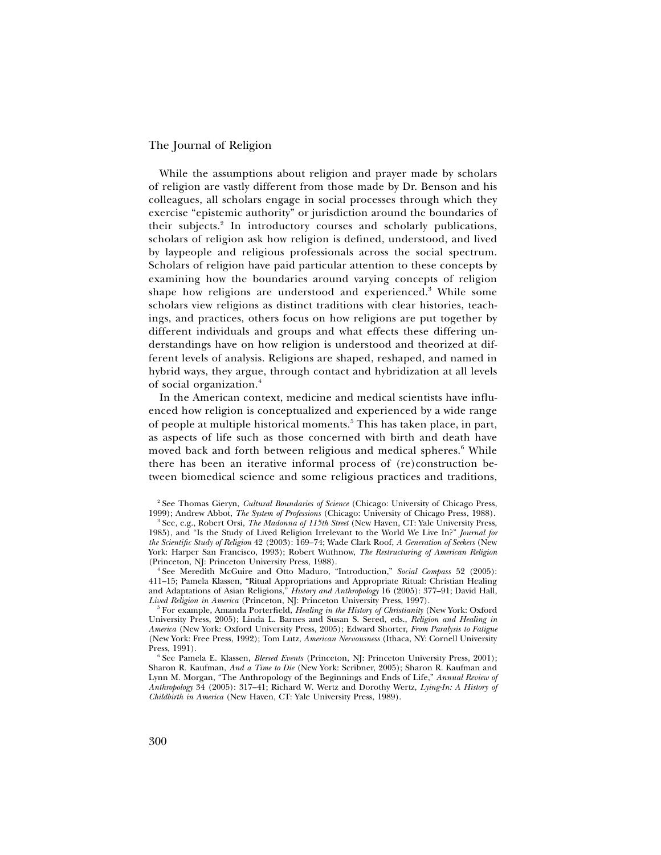While the assumptions about religion and prayer made by scholars of religion are vastly different from those made by Dr. Benson and his colleagues, all scholars engage in social processes through which they exercise "epistemic authority" or jurisdiction around the boundaries of their subjects.<sup>2</sup> In introductory courses and scholarly publications, scholars of religion ask how religion is defined, understood, and lived by laypeople and religious professionals across the social spectrum. Scholars of religion have paid particular attention to these concepts by examining how the boundaries around varying concepts of religion shape how religions are understood and experienced.<sup>3</sup> While some scholars view religions as distinct traditions with clear histories, teachings, and practices, others focus on how religions are put together by different individuals and groups and what effects these differing understandings have on how religion is understood and theorized at different levels of analysis. Religions are shaped, reshaped, and named in hybrid ways, they argue, through contact and hybridization at all levels of social organization.<sup>4</sup>

In the American context, medicine and medical scientists have influenced how religion is conceptualized and experienced by a wide range of people at multiple historical moments.<sup>5</sup> This has taken place, in part, as aspects of life such as those concerned with birth and death have moved back and forth between religious and medical spheres.<sup>6</sup> While there has been an iterative informal process of (re)construction between biomedical science and some religious practices and traditions,

<sup>4</sup> See Meredith McGuire and Otto Maduro, "Introduction," *Social Compass* 52 (2005): 411–15; Pamela Klassen, "Ritual Appropriations and Appropriate Ritual: Christian Healing and Adaptations of Asian Religions," *History and Anthropology* 16 (2005): 377–91; David Hall, *Lived Religion in America* (Princeton, NJ: Princeton University Press, 1997).

<sup>5</sup> For example, Amanda Porterfield, *Healing in the History of Christianity* (New York: Oxford University Press, 2005); Linda L. Barnes and Susan S. Sered, eds., *Religion and Healing in America* (New York: Oxford University Press, 2005); Edward Shorter, *From Paralysis to Fatigue* (New York: Free Press, 1992); Tom Lutz, *American Nervousness* (Ithaca, NY: Cornell University Press, 1991).

<sup>6</sup> See Pamela E. Klassen, *Blessed Events* (Princeton, NJ: Princeton University Press, 2001); Sharon R. Kaufman, *And a Time to Die* (New York: Scribner, 2005); Sharon R. Kaufman and Lynn M. Morgan, "The Anthropology of the Beginnings and Ends of Life," *Annual Review of Anthropology* 34 (2005): 317–41; Richard W. Wertz and Dorothy Wertz, *Lying-In: A History of Childbirth in America* (New Haven, CT: Yale University Press, 1989).

<sup>2</sup> See Thomas Gieryn, *Cultural Boundaries of Science* (Chicago: University of Chicago Press, 1999); Andrew Abbot, *The System of Professions* (Chicago: University of Chicago Press, 1988).

<sup>3</sup> See, e.g., Robert Orsi, *The Madonna of 115th Street* (New Haven, CT: Yale University Press, 1985), and "Is the Study of Lived Religion Irrelevant to the World We Live In?" *Journal for the Scientific Study of Religion* 42 (2003): 169–74; Wade Clark Roof, *A Generation of Seekers* (New York: Harper San Francisco, 1993); Robert Wuthnow, *The Restructuring of American Religion* (Princeton, NJ: Princeton University Press, 1988).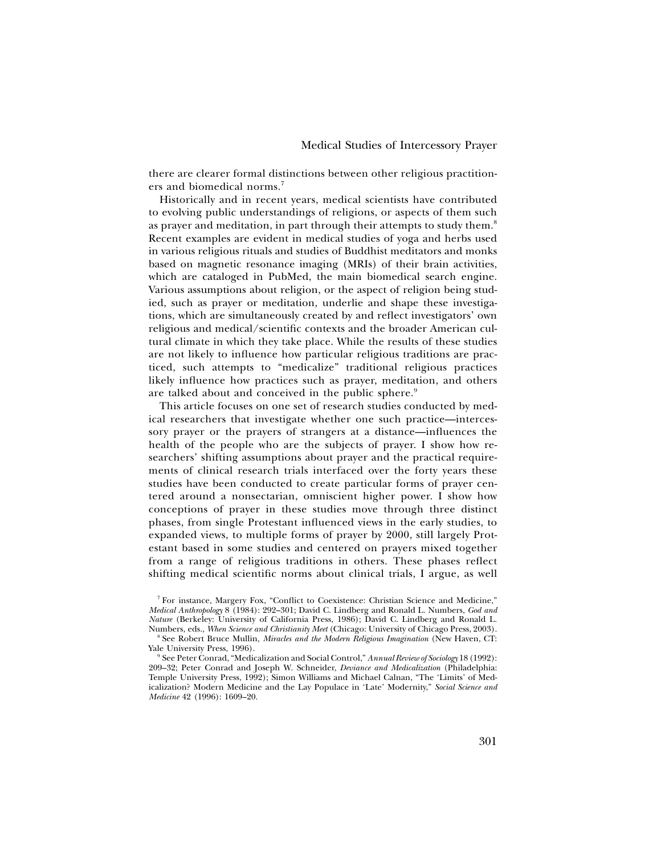there are clearer formal distinctions between other religious practitioners and biomedical norms.<sup>7</sup>

Historically and in recent years, medical scientists have contributed to evolving public understandings of religions, or aspects of them such as prayer and meditation, in part through their attempts to study them.<sup>8</sup> Recent examples are evident in medical studies of yoga and herbs used in various religious rituals and studies of Buddhist meditators and monks based on magnetic resonance imaging (MRIs) of their brain activities, which are cataloged in PubMed, the main biomedical search engine. Various assumptions about religion, or the aspect of religion being studied, such as prayer or meditation, underlie and shape these investigations, which are simultaneously created by and reflect investigators' own religious and medical/scientific contexts and the broader American cultural climate in which they take place. While the results of these studies are not likely to influence how particular religious traditions are practiced, such attempts to "medicalize" traditional religious practices likely influence how practices such as prayer, meditation, and others are talked about and conceived in the public sphere.<sup>9</sup>

This article focuses on one set of research studies conducted by medical researchers that investigate whether one such practice—intercessory prayer or the prayers of strangers at a distance—influences the health of the people who are the subjects of prayer. I show how researchers' shifting assumptions about prayer and the practical requirements of clinical research trials interfaced over the forty years these studies have been conducted to create particular forms of prayer centered around a nonsectarian, omniscient higher power. I show how conceptions of prayer in these studies move through three distinct phases, from single Protestant influenced views in the early studies, to expanded views, to multiple forms of prayer by 2000, still largely Protestant based in some studies and centered on prayers mixed together from a range of religious traditions in others. These phases reflect shifting medical scientific norms about clinical trials, I argue, as well

<sup>7</sup> For instance, Margery Fox, "Conflict to Coexistence: Christian Science and Medicine," *Medical Anthropology* 8 (1984): 292–301; David C. Lindberg and Ronald L. Numbers, *God and Nature* (Berkeley: University of California Press, 1986); David C. Lindberg and Ronald L. Numbers, eds., *When Science and Christianity Meet* (Chicago: University of Chicago Press, 2003).

<sup>8</sup> See Robert Bruce Mullin, *Miracles and the Modern Religious Imagination* (New Haven, CT: Yale University Press, 1996).

<sup>9</sup> See Peter Conrad, "Medicalization and Social Control," *Annual Review of Sociology* 18 (1992): 209–32; Peter Conrad and Joseph W. Schneider, *Deviance and Medicalization* (Philadelphia: Temple University Press, 1992); Simon Williams and Michael Calnan, "The 'Limits' of Medicalization? Modern Medicine and the Lay Populace in 'Late' Modernity," *Social Science and Medicine* 42 (1996): 1609–20.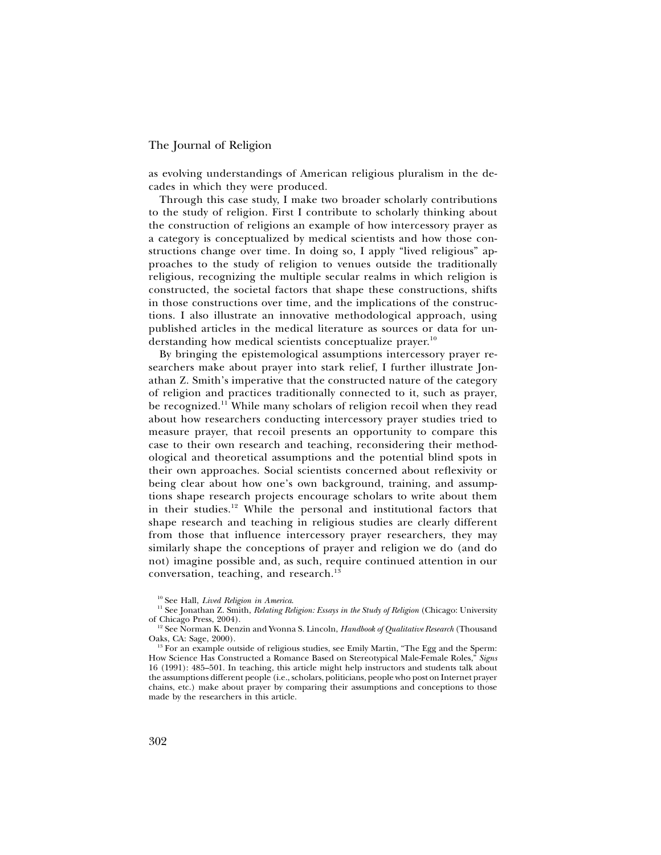as evolving understandings of American religious pluralism in the decades in which they were produced.

Through this case study, I make two broader scholarly contributions to the study of religion. First I contribute to scholarly thinking about the construction of religions an example of how intercessory prayer as a category is conceptualized by medical scientists and how those constructions change over time. In doing so, I apply "lived religious" approaches to the study of religion to venues outside the traditionally religious, recognizing the multiple secular realms in which religion is constructed, the societal factors that shape these constructions, shifts in those constructions over time, and the implications of the constructions. I also illustrate an innovative methodological approach, using published articles in the medical literature as sources or data for understanding how medical scientists conceptualize prayer.<sup>10</sup>

By bringing the epistemological assumptions intercessory prayer researchers make about prayer into stark relief, I further illustrate Jonathan Z. Smith's imperative that the constructed nature of the category of religion and practices traditionally connected to it, such as prayer, be recognized.<sup>11</sup> While many scholars of religion recoil when they read about how researchers conducting intercessory prayer studies tried to measure prayer, that recoil presents an opportunity to compare this case to their own research and teaching, reconsidering their methodological and theoretical assumptions and the potential blind spots in their own approaches. Social scientists concerned about reflexivity or being clear about how one's own background, training, and assumptions shape research projects encourage scholars to write about them in their studies.<sup>12</sup> While the personal and institutional factors that shape research and teaching in religious studies are clearly different from those that influence intercessory prayer researchers, they may similarly shape the conceptions of prayer and religion we do (and do not) imagine possible and, as such, require continued attention in our conversation, teaching, and research.<sup>13</sup>

<sup>10</sup> See Hall, *Lived Religion in America*.

<sup>&</sup>lt;sup>11</sup> See Jonathan Z. Smith, *Relating Religion: Essays in the Study of Religion* (Chicago: University of Chicago Press, 2004).

<sup>12</sup> See Norman K. Denzin and Yvonna S. Lincoln, *Handbook of Qualitative Research* (Thousand Oaks, CA: Sage, 2000).

<sup>&</sup>lt;sup>13</sup> For an example outside of religious studies, see Emily Martin, "The Egg and the Sperm: How Science Has Constructed a Romance Based on Stereotypical Male-Female Roles," *Signs* 16 (1991): 485–501. In teaching, this article might help instructors and students talk about the assumptions different people (i.e., scholars, politicians, people who post on Internet prayer chains, etc.) make about prayer by comparing their assumptions and conceptions to those made by the researchers in this article.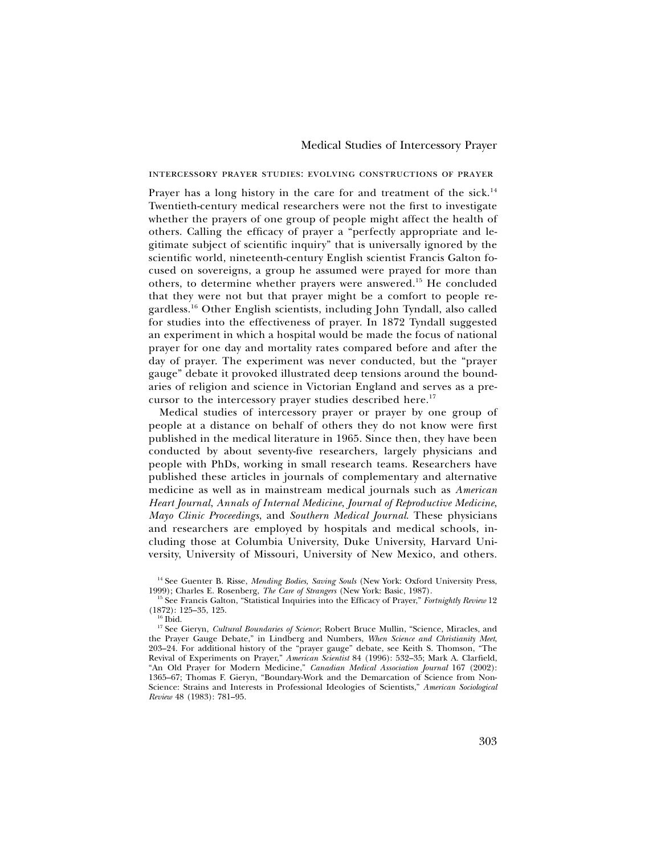#### Medical Studies of Intercessory Prayer

#### intercessory prayer studies: evolving constructions of prayer

Prayer has a long history in the care for and treatment of the sick.<sup>14</sup> Twentieth-century medical researchers were not the first to investigate whether the prayers of one group of people might affect the health of others. Calling the efficacy of prayer a "perfectly appropriate and legitimate subject of scientific inquiry" that is universally ignored by the scientific world, nineteenth-century English scientist Francis Galton focused on sovereigns, a group he assumed were prayed for more than others, to determine whether prayers were answered.<sup>15</sup> He concluded that they were not but that prayer might be a comfort to people regardless.<sup>16</sup> Other English scientists, including John Tyndall, also called for studies into the effectiveness of prayer. In 1872 Tyndall suggested an experiment in which a hospital would be made the focus of national prayer for one day and mortality rates compared before and after the day of prayer. The experiment was never conducted, but the "prayer gauge" debate it provoked illustrated deep tensions around the boundaries of religion and science in Victorian England and serves as a precursor to the intercessory prayer studies described here.<sup>17</sup>

Medical studies of intercessory prayer or prayer by one group of people at a distance on behalf of others they do not know were first published in the medical literature in 1965. Since then, they have been conducted by about seventy-five researchers, largely physicians and people with PhDs, working in small research teams. Researchers have published these articles in journals of complementary and alternative medicine as well as in mainstream medical journals such as *American Heart Journal*, *Annals of Internal Medicine*, *Journal of Reproductive Medicine*, *Mayo Clinic Proceedings*, and *Southern Medical Journal*. These physicians and researchers are employed by hospitals and medical schools, including those at Columbia University, Duke University, Harvard University, University of Missouri, University of New Mexico, and others.

<sup>&</sup>lt;sup>14</sup> See Guenter B. Risse, *Mending Bodies, Saving Souls* (New York: Oxford University Press, 1999); Charles E. Rosenberg, *The Care of Strangers* (New York: Basic, 1987).

<sup>&</sup>lt;sup>15</sup> See Francis Galton, "Statistical Inquiries into the Efficacy of Prayer," *Fortnightly Review* 12 (1872): 125–35, 125.

 $16$  Ibid.

<sup>&</sup>lt;sup>17</sup> See Gieryn, *Cultural Boundaries of Science*; Robert Bruce Mullin, "Science, Miracles, and the Prayer Gauge Debate," in Lindberg and Numbers, *When Science and Christianity Meet*, 203–24. For additional history of the "prayer gauge" debate, see Keith S. Thomson, "The Revival of Experiments on Prayer," *American Scientist* 84 (1996): 532–35; Mark A. Clarfield, "An Old Prayer for Modern Medicine," *Canadian Medical Association Journal* 167 (2002): 1365–67; Thomas F. Gieryn, "Boundary-Work and the Demarcation of Science from Non-Science: Strains and Interests in Professional Ideologies of Scientists," *American Sociological Review* 48 (1983): 781–95.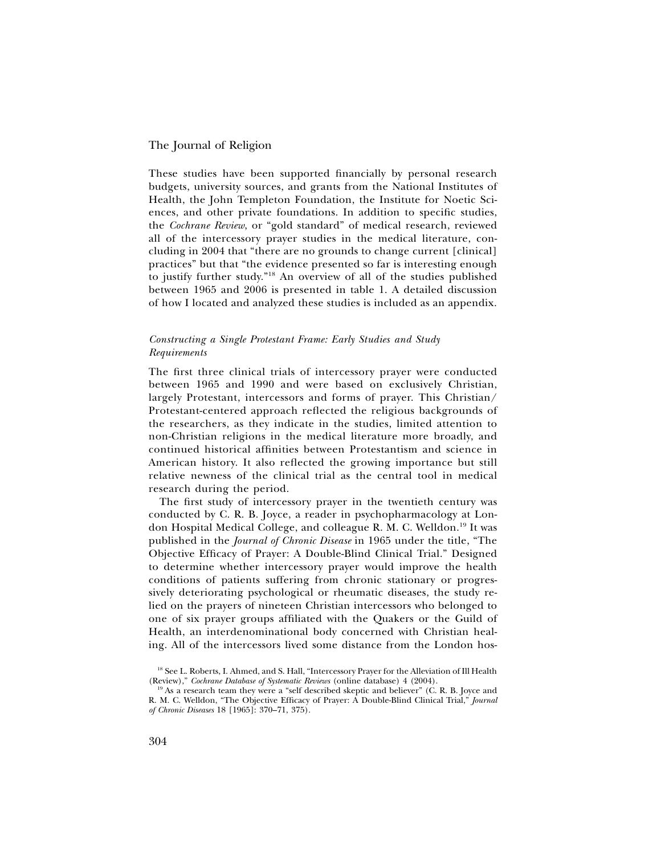These studies have been supported financially by personal research budgets, university sources, and grants from the National Institutes of Health, the John Templeton Foundation, the Institute for Noetic Sciences, and other private foundations. In addition to specific studies, the *Cochrane Review*, or "gold standard" of medical research, reviewed all of the intercessory prayer studies in the medical literature, concluding in 2004 that "there are no grounds to change current [clinical] practices" but that "the evidence presented so far is interesting enough to justify further study."<sup>18</sup> An overview of all of the studies published between 1965 and 2006 is presented in table 1. A detailed discussion of how I located and analyzed these studies is included as an appendix.

#### *Constructing a Single Protestant Frame: Early Studies and Study Requirements*

The first three clinical trials of intercessory prayer were conducted between 1965 and 1990 and were based on exclusively Christian, largely Protestant, intercessors and forms of prayer. This Christian/ Protestant-centered approach reflected the religious backgrounds of the researchers, as they indicate in the studies, limited attention to non-Christian religions in the medical literature more broadly, and continued historical affinities between Protestantism and science in American history. It also reflected the growing importance but still relative newness of the clinical trial as the central tool in medical research during the period.

The first study of intercessory prayer in the twentieth century was conducted by C. R. B. Joyce, a reader in psychopharmacology at London Hospital Medical College, and colleague R. M. C. Welldon.<sup>19</sup> It was published in the *Journal of Chronic Disease* in 1965 under the title, "The Objective Efficacy of Prayer: A Double-Blind Clinical Trial." Designed to determine whether intercessory prayer would improve the health conditions of patients suffering from chronic stationary or progressively deteriorating psychological or rheumatic diseases, the study relied on the prayers of nineteen Christian intercessors who belonged to one of six prayer groups affiliated with the Quakers or the Guild of Health, an interdenominational body concerned with Christian healing. All of the intercessors lived some distance from the London hos-

 $^{18}$  See L. Roberts, I. Ahmed, and S. Hall, "Intercessory Prayer for the Alleviation of Ill Health (Review)," *Cochrane Database of Systematic Reviews* (online database) 4 (2004).

<sup>&</sup>lt;sup>9</sup> As a research team they were a "self described skeptic and believer" (C. R. B. Joyce and R. M. C. Welldon, "The Objective Efficacy of Prayer: A Double-Blind Clinical Trial," *Journal of Chronic Diseases* 18 [1965]: 370–71, 375).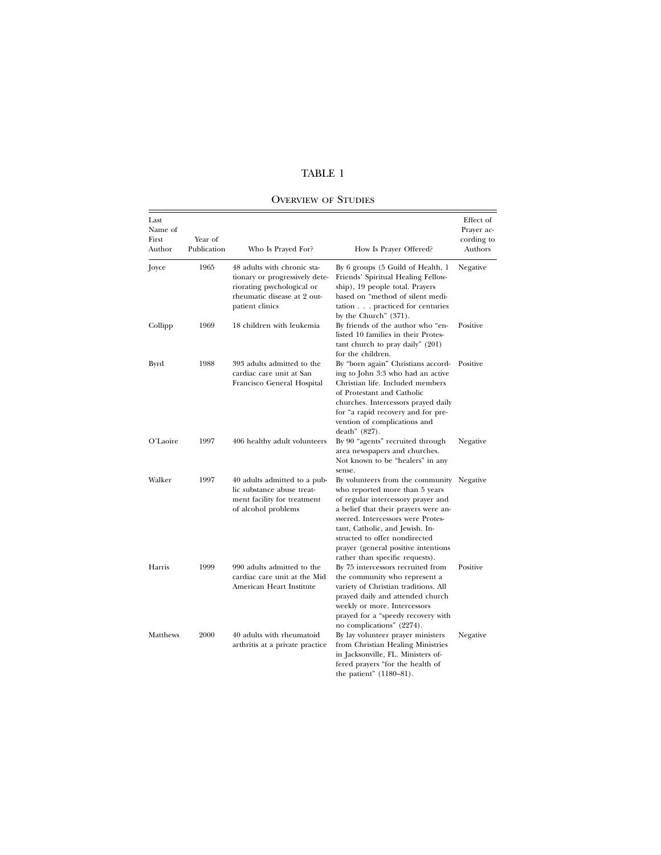### TABLE 1

| <b>OVERVIEW OF STUDIES</b> |  |  |
|----------------------------|--|--|
|                            |  |  |
|                            |  |  |

| Last<br>Name of<br>First<br>Author | Year of<br>Publication | Who Is Prayed For?                                                                                                                            | How Is Prayer Offered?                                                                                                                                                                                                                                                                                                                       | Effect of<br>Prayer ac-<br>cording to<br>Authors |
|------------------------------------|------------------------|-----------------------------------------------------------------------------------------------------------------------------------------------|----------------------------------------------------------------------------------------------------------------------------------------------------------------------------------------------------------------------------------------------------------------------------------------------------------------------------------------------|--------------------------------------------------|
| Joyce                              | 1965                   | 48 adults with chronic sta-<br>tionary or progressively dete-<br>riorating psychological or<br>rheumatic disease at 2 out-<br>patient clinics | By 6 groups (5 Guild of Health, 1<br>Friends' Spiritual Healing Fellow-<br>ship), 19 people total. Prayers<br>based on "method of silent medi-<br>tation practiced for centuries<br>by the Church" (371).                                                                                                                                    | Negative                                         |
| Collipp                            | 1969                   | 18 children with leukemia                                                                                                                     | By friends of the author who "en-<br>listed 10 families in their Protes-<br>tant church to pray daily" (201)<br>for the children.                                                                                                                                                                                                            | Positive                                         |
| <b>Byrd</b>                        | 1988                   | 393 adults admitted to the<br>cardiac care unit at San<br>Francisco General Hospital                                                          | By "born again" Christians accord-<br>ing to John 3:3 who had an active<br>Christian life. Included members<br>of Protestant and Catholic<br>churches. Intercessors prayed daily<br>for "a rapid recovery and for pre-<br>vention of complications and<br>death" (827).                                                                      | Positive                                         |
| O'Laoire                           | 1997                   | 406 healthy adult volunteers                                                                                                                  | By 90 "agents" recruited through<br>area newspapers and churches.<br>Not known to be "healers" in any<br>sense.                                                                                                                                                                                                                              | Negative                                         |
| Walker                             | 1997                   | 40 adults admitted to a pub-<br>lic substance abuse treat-<br>ment facility for treatment<br>of alcohol problems                              | By volunteers from the community Negative<br>who reported more than 5 years<br>of regular intercessory prayer and<br>a belief that their prayers were an-<br>swered. Intercessors were Protes-<br>tant, Catholic, and Jewish. In-<br>structed to offer nondirected<br>prayer (general positive intentions<br>rather than specific requests). |                                                  |
| Harris                             | 1999                   | 990 adults admitted to the<br>cardiac care unit at the Mid<br>American Heart Institute                                                        | By 75 intercessors recruited from<br>the community who represent a<br>variety of Christian traditions. All<br>prayed daily and attended church<br>weekly or more. Intercessors<br>prayed for a "speedy recovery with<br>no complications" (2274).                                                                                            | Positive                                         |
| Matthews                           | 2000                   | 40 adults with rheumatoid<br>arthritis at a private practice                                                                                  | By lay volunteer prayer ministers<br>from Christian Healing Ministries<br>in Jacksonville, FL. Ministers of-<br>fered prayers "for the health of<br>the patient" (1180–81).                                                                                                                                                                  | Negative                                         |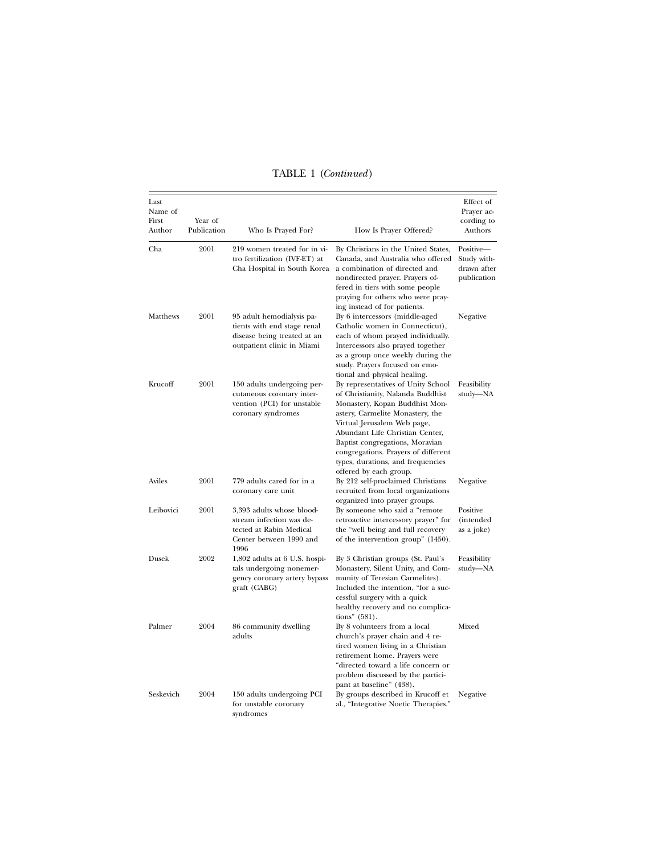| Last<br>Name of<br>First<br>Author | Year of<br>Publication | Who Is Prayed For?                                                                                                    | How Is Prayer Offered?                                                                                                                                                                                                                                                                                                                                   | Effect of<br>Prayer ac-<br>cording to<br>Authors       |
|------------------------------------|------------------------|-----------------------------------------------------------------------------------------------------------------------|----------------------------------------------------------------------------------------------------------------------------------------------------------------------------------------------------------------------------------------------------------------------------------------------------------------------------------------------------------|--------------------------------------------------------|
| Cha                                | 2001                   | 219 women treated for in vi-<br>tro fertilization (IVF-ET) at<br>Cha Hospital in South Korea                          | By Christians in the United States,<br>Canada, and Australia who offered<br>a combination of directed and<br>nondirected prayer. Prayers of-<br>fered in tiers with some people<br>praying for others who were pray-<br>ing instead of for patients.                                                                                                     | Positive-<br>Study with-<br>drawn after<br>publication |
| Matthews                           | 2001                   | 95 adult hemodialysis pa-<br>tients with end stage renal<br>disease being treated at an<br>outpatient clinic in Miami | By 6 intercessors (middle-aged)<br>Catholic women in Connecticut),<br>each of whom prayed individually.<br>Intercessors also prayed together<br>as a group once weekly during the<br>study. Prayers focused on emo-<br>tional and physical healing.                                                                                                      | Negative                                               |
| Krucoff                            | 2001                   | 150 adults undergoing per-<br>cutaneous coronary inter-<br>vention (PCI) for unstable<br>coronary syndromes           | By representatives of Unity School<br>of Christianity, Nalanda Buddhist<br>Monastery, Kopan Buddhist Mon-<br>astery, Carmelite Monastery, the<br>Virtual Jerusalem Web page,<br>Abundant Life Christian Center,<br>Baptist congregations, Moravian<br>congregations. Prayers of different<br>types, durations, and frequencies<br>offered by each group. | Feasibility<br>study—NA                                |
| Aviles                             | 2001                   | 779 adults cared for in a<br>coronary care unit                                                                       | By 212 self-proclaimed Christians<br>recruited from local organizations<br>organized into prayer groups.                                                                                                                                                                                                                                                 | Negative                                               |
| Leibovici                          | 2001                   | 3,393 adults whose blood-<br>stream infection was de-<br>tected at Rabin Medical<br>Center between 1990 and<br>1996   | By someone who said a "remote<br>retroactive intercessory prayer" for<br>the "well being and full recovery<br>of the intervention group" (1450).                                                                                                                                                                                                         | Positive<br><i>(intended)</i><br>as a joke)            |
| Dusek                              | 2002                   | $1,802$ adults at 6 U.S. hospi-<br>tals undergoing nonemer-<br>gency coronary artery bypass<br>graft (CABG)           | By 3 Christian groups (St. Paul's<br>Monastery, Silent Unity, and Com-<br>munity of Teresian Carmelites).<br>Included the intention, "for a suc-<br>cessful surgery with a quick<br>healthy recovery and no complica-<br>tions" (581).                                                                                                                   | Feasibility<br>study-NA                                |
| Palmer                             | 2004                   | 86 community dwelling<br>adults                                                                                       | By 8 volunteers from a local<br>church's prayer chain and 4 re-<br>tired women living in a Christian<br>retirement home. Prayers were<br>"directed toward a life concern or<br>problem discussed by the partici-<br>pant at baseline" (438).                                                                                                             | Mixed                                                  |
| Seskevich                          | 2004                   | 150 adults undergoing PCI<br>for unstable coronary<br>syndromes                                                       | By groups described in Krucoff et<br>al., "Integrative Noetic Therapies."                                                                                                                                                                                                                                                                                | Negative                                               |

## TABLE 1 (*Continued*)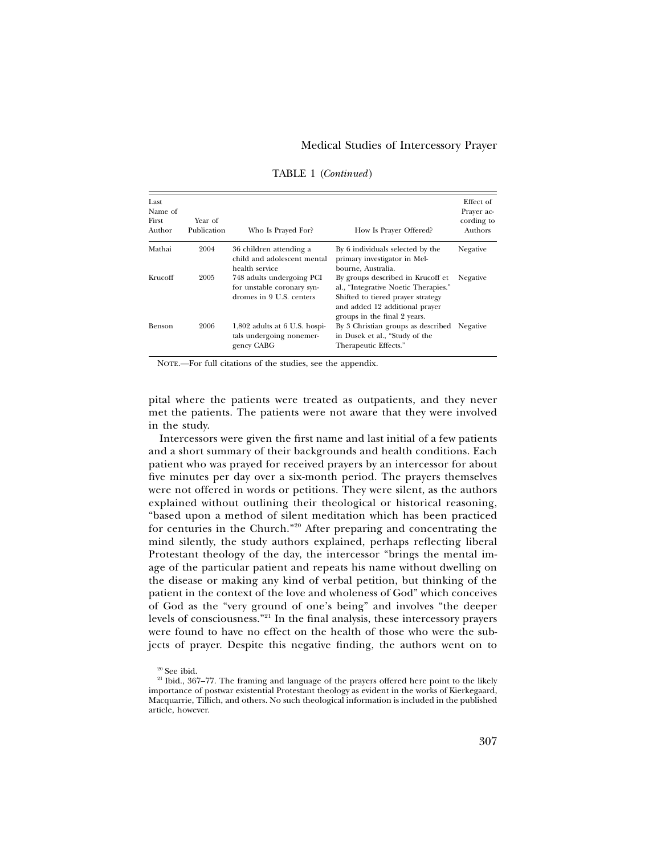#### Medical Studies of Intercessory Prayer

| Last<br>Name of<br>First<br>Author | Year of<br>Publication | Who Is Prayed For?                                                                  | How Is Prayer Offered?                                                                                                                                                           | Effect of<br>Prayer ac-<br>cording to<br>Authors |
|------------------------------------|------------------------|-------------------------------------------------------------------------------------|----------------------------------------------------------------------------------------------------------------------------------------------------------------------------------|--------------------------------------------------|
| Mathai                             | 2004                   | 36 children attending a<br>child and adolescent mental<br>health service            | By 6 individuals selected by the<br>primary investigator in Mel-<br>bourne, Australia.                                                                                           | Negative                                         |
| Krucoff                            | 2005                   | 748 adults undergoing PCI<br>for unstable coronary syn-<br>dromes in 9 U.S. centers | By groups described in Krucoff et<br>al., "Integrative Noetic Therapies."<br>Shifted to tiered prayer strategy<br>and added 12 additional prayer<br>groups in the final 2 years. | Negative                                         |
| Benson                             | 2006                   | $1,802$ adults at 6 U.S. hospi-<br>tals undergoing nonemer-<br>gency CABG           | By 3 Christian groups as described<br>in Dusek et al., "Study of the<br>Therapeutic Effects."                                                                                    | Negative                                         |

TABLE 1 (*Continued*)

NOTE.—For full citations of the studies, see the appendix.

pital where the patients were treated as outpatients, and they never met the patients. The patients were not aware that they were involved in the study.

Intercessors were given the first name and last initial of a few patients and a short summary of their backgrounds and health conditions. Each patient who was prayed for received prayers by an intercessor for about five minutes per day over a six-month period. The prayers themselves were not offered in words or petitions. They were silent, as the authors explained without outlining their theological or historical reasoning, "based upon a method of silent meditation which has been practiced for centuries in the Church."<sup>20</sup> After preparing and concentrating the mind silently, the study authors explained, perhaps reflecting liberal Protestant theology of the day, the intercessor "brings the mental image of the particular patient and repeats his name without dwelling on the disease or making any kind of verbal petition, but thinking of the patient in the context of the love and wholeness of God" which conceives of God as the "very ground of one's being" and involves "the deeper levels of consciousness."<sup>21</sup> In the final analysis, these intercessory prayers were found to have no effect on the health of those who were the subjects of prayer. Despite this negative finding, the authors went on to

 $^{\rm 20}$  See ibid.

<sup>&</sup>lt;sup>21</sup> Ibid., 367-77. The framing and language of the prayers offered here point to the likely importance of postwar existential Protestant theology as evident in the works of Kierkegaard, Macquarrie, Tillich, and others. No such theological information is included in the published article, however.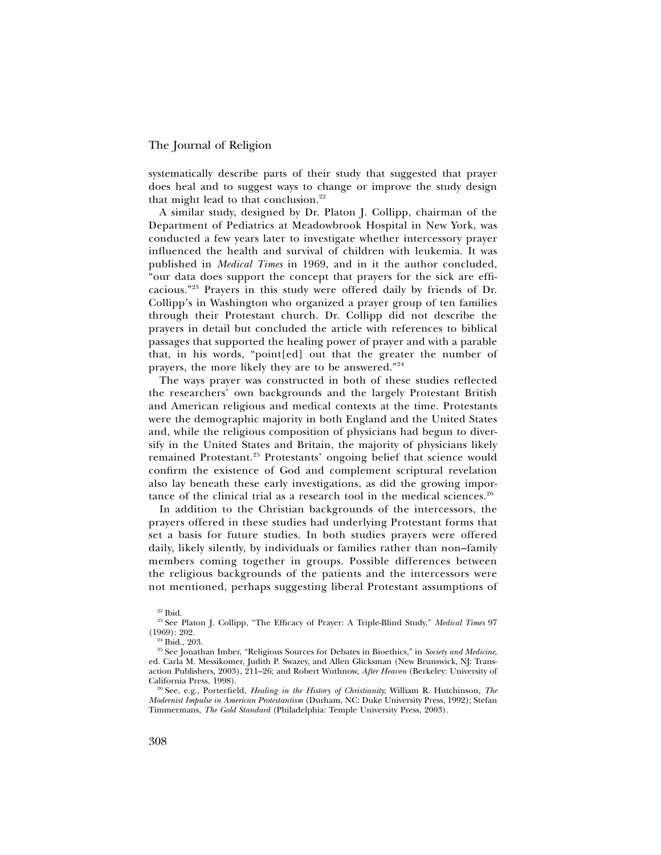systematically describe parts of their study that suggested that prayer does heal and to suggest ways to change or improve the study design that might lead to that conclusion. $22$ 

A similar study, designed by Dr. Platon J. Collipp, chairman of the Department of Pediatrics at Meadowbrook Hospital in New York, was conducted a few years later to investigate whether intercessory prayer influenced the health and survival of children with leukemia. It was published in *Medical Times* in 1969, and in it the author concluded, "our data does support the concept that prayers for the sick are efficacious."<sup>23</sup> Prayers in this study were offered daily by friends of Dr. Collipp's in Washington who organized a prayer group of ten families through their Protestant church. Dr. Collipp did not describe the prayers in detail but concluded the article with references to biblical passages that supported the healing power of prayer and with a parable that, in his words, "point[ed] out that the greater the number of prayers, the more likely they are to be answered."<sup>24</sup>

The ways prayer was constructed in both of these studies reflected the researchers' own backgrounds and the largely Protestant British and American religious and medical contexts at the time. Protestants were the demographic majority in both England and the United States and, while the religious composition of physicians had begun to diversify in the United States and Britain, the majority of physicians likely remained Protestant.<sup>25</sup> Protestants' ongoing belief that science would confirm the existence of God and complement scriptural revelation also lay beneath these early investigations, as did the growing importance of the clinical trial as a research tool in the medical sciences. $26$ 

In addition to the Christian backgrounds of the intercessors, the prayers offered in these studies had underlying Protestant forms that set a basis for future studies. In both studies prayers were offered daily, likely silently, by individuals or families rather than non–family members coming together in groups. Possible differences between the religious backgrounds of the patients and the intercessors were not mentioned, perhaps suggesting liberal Protestant assumptions of

 $22$  Ibid.

<sup>23</sup> See Platon J. Collipp, "The Efficacy of Prayer: A Triple-Blind Study," *Medical Times* 97 (1969): 202.

<sup>24</sup> Ibid., 203.

<sup>25</sup> See Jonathan Imber, "Religious Sources for Debates in Bioethics," in *Society and Medicine*, ed. Carla M. Messikomer, Judith P. Swazey, and Allen Glicksman (New Brunswick, NJ: Transaction Publishers, 2003), 211–26; and Robert Wuthnow, *After Heaven* (Berkeley: University of California Press, 1998).

<sup>26</sup> See, e.g., Porterfield, *Healing in the History of Christianity*; William R. Hutchinson, *The Modernist Impulse in American Protestantism* (Durham, NC: Duke University Press, 1992); Stefan Timmermans, *The Gold Standard* (Philadelphia: Temple University Press, 2003).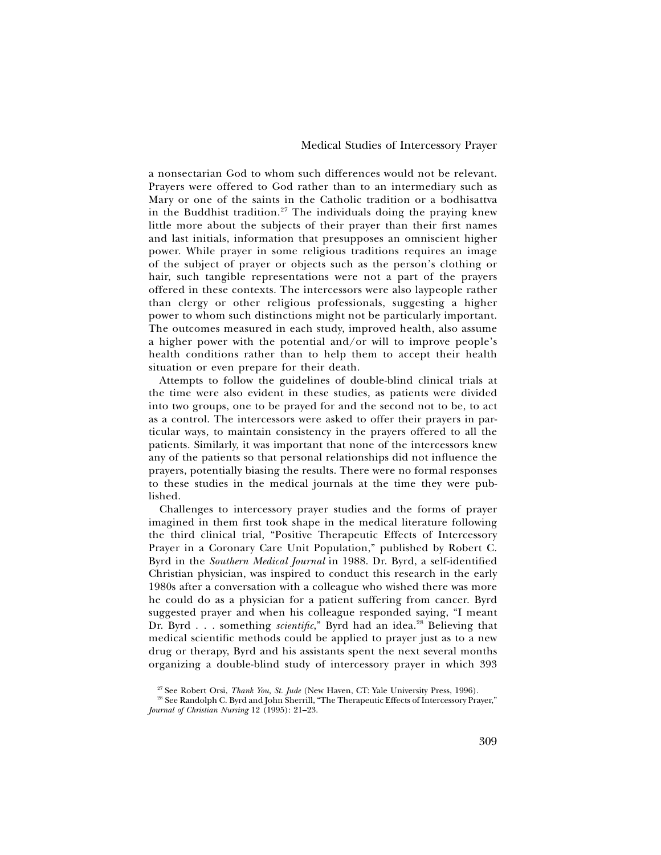a nonsectarian God to whom such differences would not be relevant. Prayers were offered to God rather than to an intermediary such as Mary or one of the saints in the Catholic tradition or a bodhisattva in the Buddhist tradition.<sup>27</sup> The individuals doing the praying knew little more about the subjects of their prayer than their first names and last initials, information that presupposes an omniscient higher power. While prayer in some religious traditions requires an image of the subject of prayer or objects such as the person's clothing or hair, such tangible representations were not a part of the prayers offered in these contexts. The intercessors were also laypeople rather than clergy or other religious professionals, suggesting a higher power to whom such distinctions might not be particularly important. The outcomes measured in each study, improved health, also assume a higher power with the potential and/or will to improve people's health conditions rather than to help them to accept their health situation or even prepare for their death.

Attempts to follow the guidelines of double-blind clinical trials at the time were also evident in these studies, as patients were divided into two groups, one to be prayed for and the second not to be, to act as a control. The intercessors were asked to offer their prayers in particular ways, to maintain consistency in the prayers offered to all the patients. Similarly, it was important that none of the intercessors knew any of the patients so that personal relationships did not influence the prayers, potentially biasing the results. There were no formal responses to these studies in the medical journals at the time they were published.

Challenges to intercessory prayer studies and the forms of prayer imagined in them first took shape in the medical literature following the third clinical trial, "Positive Therapeutic Effects of Intercessory Prayer in a Coronary Care Unit Population," published by Robert C. Byrd in the *Southern Medical Journal* in 1988. Dr. Byrd, a self-identified Christian physician, was inspired to conduct this research in the early 1980s after a conversation with a colleague who wished there was more he could do as a physician for a patient suffering from cancer. Byrd suggested prayer and when his colleague responded saying, "I meant Dr. Byrd . . . something *scientific*," Byrd had an idea.<sup>28</sup> Believing that medical scientific methods could be applied to prayer just as to a new drug or therapy, Byrd and his assistants spent the next several months organizing a double-blind study of intercessory prayer in which 393

<sup>27</sup> See Robert Orsi, *Thank You, St. Jude* (New Haven, CT: Yale University Press, 1996).

<sup>&</sup>lt;sup>28</sup> See Randolph C. Byrd and John Sherrill, "The Therapeutic Effects of Intercessory Prayer," *Journal of Christian Nursing* 12 (1995): 21–23.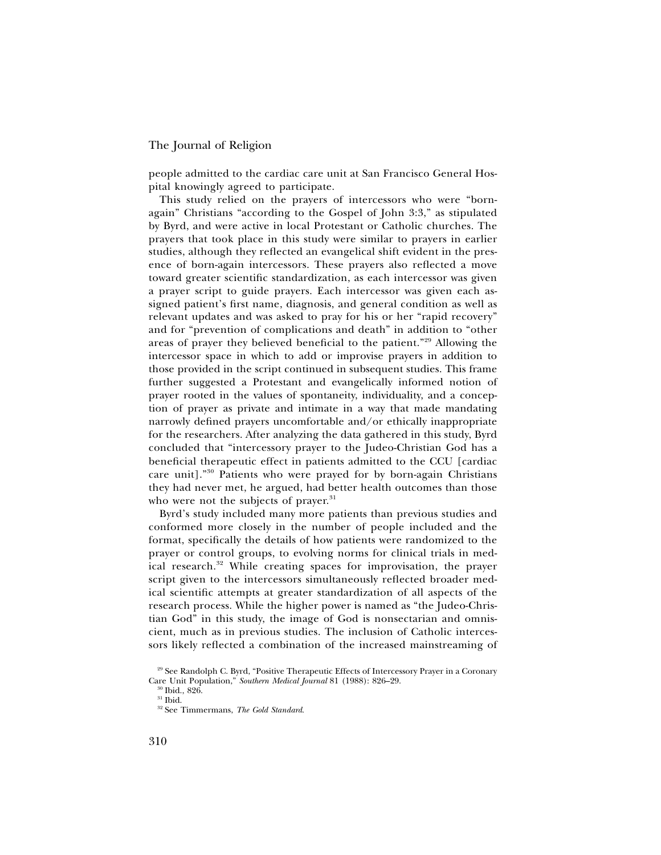people admitted to the cardiac care unit at San Francisco General Hospital knowingly agreed to participate.

This study relied on the prayers of intercessors who were "bornagain" Christians "according to the Gospel of John 3:3," as stipulated by Byrd, and were active in local Protestant or Catholic churches. The prayers that took place in this study were similar to prayers in earlier studies, although they reflected an evangelical shift evident in the presence of born-again intercessors. These prayers also reflected a move toward greater scientific standardization, as each intercessor was given a prayer script to guide prayers. Each intercessor was given each assigned patient's first name, diagnosis, and general condition as well as relevant updates and was asked to pray for his or her "rapid recovery" and for "prevention of complications and death" in addition to "other areas of prayer they believed beneficial to the patient."<sup>29</sup> Allowing the intercessor space in which to add or improvise prayers in addition to those provided in the script continued in subsequent studies. This frame further suggested a Protestant and evangelically informed notion of prayer rooted in the values of spontaneity, individuality, and a conception of prayer as private and intimate in a way that made mandating narrowly defined prayers uncomfortable and/or ethically inappropriate for the researchers. After analyzing the data gathered in this study, Byrd concluded that "intercessory prayer to the Judeo-Christian God has a beneficial therapeutic effect in patients admitted to the CCU [cardiac care unit]."<sup>30</sup> Patients who were prayed for by born-again Christians they had never met, he argued, had better health outcomes than those who were not the subjects of prayer.<sup>31</sup>

Byrd's study included many more patients than previous studies and conformed more closely in the number of people included and the format, specifically the details of how patients were randomized to the prayer or control groups, to evolving norms for clinical trials in medical research.<sup>32</sup> While creating spaces for improvisation, the prayer script given to the intercessors simultaneously reflected broader medical scientific attempts at greater standardization of all aspects of the research process. While the higher power is named as "the Judeo-Christian God" in this study, the image of God is nonsectarian and omniscient, much as in previous studies. The inclusion of Catholic intercessors likely reflected a combination of the increased mainstreaming of

<sup>29</sup> See Randolph C. Byrd, "Positive Therapeutic Effects of Intercessory Prayer in a Coronary Care Unit Population," *Southern Medical Journal* 81 (1988): 826–29.

 $30$  Ibid.,  $826$ .

 $^{\rm 31}$  Ibid.

<sup>32</sup> See Timmermans, *The Gold Standard*.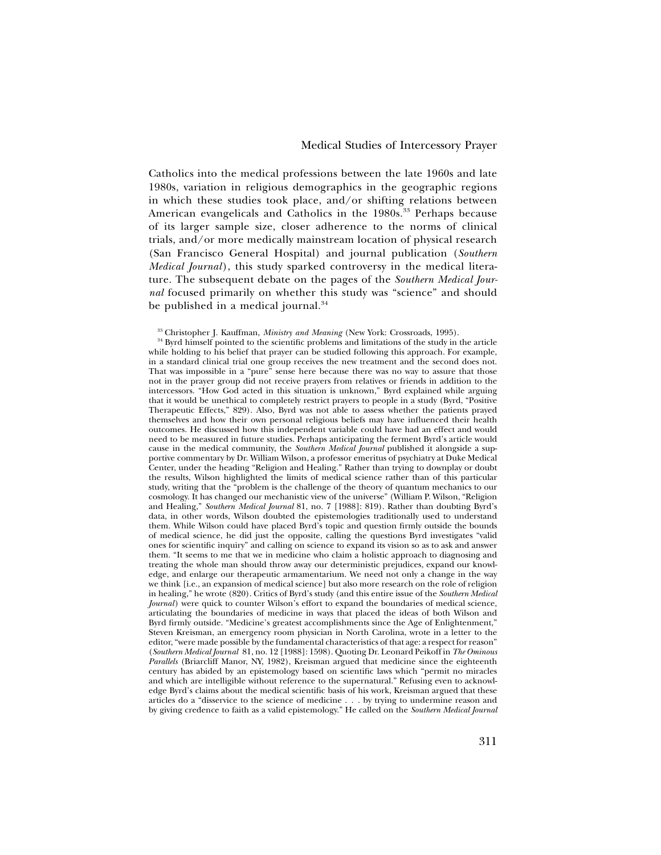Catholics into the medical professions between the late 1960s and late 1980s, variation in religious demographics in the geographic regions in which these studies took place, and/or shifting relations between American evangelicals and Catholics in the 1980s.<sup>33</sup> Perhaps because of its larger sample size, closer adherence to the norms of clinical trials, and/or more medically mainstream location of physical research (San Francisco General Hospital) and journal publication (*Southern Medical Journal*), this study sparked controversy in the medical literature. The subsequent debate on the pages of the *Southern Medical Journal* focused primarily on whether this study was "science" and should be published in a medical journal.<sup>34</sup>

<sup>33</sup> Christopher J. Kauffman, *Ministry and Meaning* (New York: Crossroads, 1995).

<sup>&</sup>lt;sup>34</sup> Byrd himself pointed to the scientific problems and limitations of the study in the article while holding to his belief that prayer can be studied following this approach. For example, in a standard clinical trial one group receives the new treatment and the second does not. That was impossible in a "pure" sense here because there was no way to assure that those not in the prayer group did not receive prayers from relatives or friends in addition to the intercessors. "How God acted in this situation is unknown," Byrd explained while arguing that it would be unethical to completely restrict prayers to people in a study (Byrd, "Positive Therapeutic Effects," 829). Also, Byrd was not able to assess whether the patients prayed themselves and how their own personal religious beliefs may have influenced their health outcomes. He discussed how this independent variable could have had an effect and would need to be measured in future studies. Perhaps anticipating the ferment Byrd's article would cause in the medical community, the *Southern Medical Journal* published it alongside a supportive commentary by Dr. William Wilson, a professor emeritus of psychiatry at Duke Medical Center, under the heading "Religion and Healing." Rather than trying to downplay or doubt the results, Wilson highlighted the limits of medical science rather than of this particular study, writing that the "problem is the challenge of the theory of quantum mechanics to our cosmology. It has changed our mechanistic view of the universe" (William P. Wilson, "Religion and Healing," *Southern Medical Journal* 81, no. 7 [1988]: 819). Rather than doubting Byrd's data, in other words, Wilson doubted the epistemologies traditionally used to understand them. While Wilson could have placed Byrd's topic and question firmly outside the bounds of medical science, he did just the opposite, calling the questions Byrd investigates "valid ones for scientific inquiry" and calling on science to expand its vision so as to ask and answer them. "It seems to me that we in medicine who claim a holistic approach to diagnosing and treating the whole man should throw away our deterministic prejudices, expand our knowledge, and enlarge our therapeutic armamentarium. We need not only a change in the way we think [i.e., an expansion of medical science] but also more research on the role of religion in healing," he wrote (820). Critics of Byrd's study (and this entire issue of the *Southern Medical Journal*) were quick to counter Wilson's effort to expand the boundaries of medical science, articulating the boundaries of medicine in ways that placed the ideas of both Wilson and Byrd firmly outside. "Medicine's greatest accomplishments since the Age of Enlightenment," Steven Kreisman, an emergency room physician in North Carolina, wrote in a letter to the editor, "were made possible by the fundamental characteristics of that age: a respect for reason" (*Southern Medical Journal* 81, no. 12 [1988]: 1598). Quoting Dr. Leonard Peikoff in *The Ominous Parallels* (Briarcliff Manor, NY, 1982), Kreisman argued that medicine since the eighteenth century has abided by an epistemology based on scientific laws which "permit no miracles and which are intelligible without reference to the supernatural." Refusing even to acknowledge Byrd's claims about the medical scientific basis of his work, Kreisman argued that these articles do a "disservice to the science of medicine . . . by trying to undermine reason and by giving credence to faith as a valid epistemology." He called on the *Southern Medical Journal*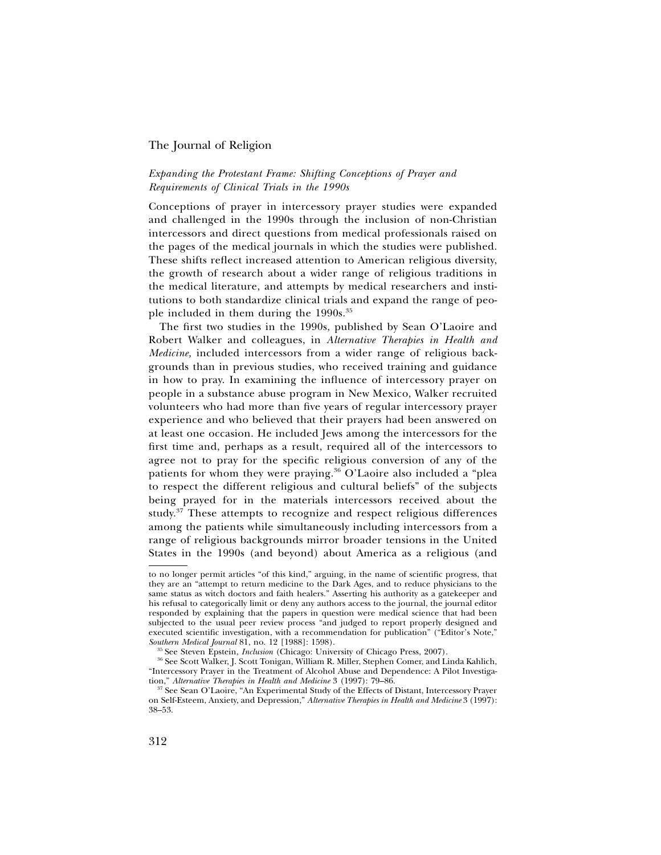### *Expanding the Protestant Frame: Shifting Conceptions of Prayer and Requirements of Clinical Trials in the 1990s*

Conceptions of prayer in intercessory prayer studies were expanded and challenged in the 1990s through the inclusion of non-Christian intercessors and direct questions from medical professionals raised on the pages of the medical journals in which the studies were published. These shifts reflect increased attention to American religious diversity, the growth of research about a wider range of religious traditions in the medical literature, and attempts by medical researchers and institutions to both standardize clinical trials and expand the range of people included in them during the 1990s.<sup>35</sup>

The first two studies in the 1990s, published by Sean O'Laoire and Robert Walker and colleagues, in *Alternative Therapies in Health and Medicine,* included intercessors from a wider range of religious backgrounds than in previous studies, who received training and guidance in how to pray. In examining the influence of intercessory prayer on people in a substance abuse program in New Mexico, Walker recruited volunteers who had more than five years of regular intercessory prayer experience and who believed that their prayers had been answered on at least one occasion. He included Jews among the intercessors for the first time and, perhaps as a result, required all of the intercessors to agree not to pray for the specific religious conversion of any of the patients for whom they were praying.<sup>36</sup> O'Laoire also included a "plea to respect the different religious and cultural beliefs" of the subjects being prayed for in the materials intercessors received about the study.<sup>37</sup> These attempts to recognize and respect religious differences among the patients while simultaneously including intercessors from a range of religious backgrounds mirror broader tensions in the United States in the 1990s (and beyond) about America as a religious (and

to no longer permit articles "of this kind," arguing, in the name of scientific progress, that they are an "attempt to return medicine to the Dark Ages, and to reduce physicians to the same status as witch doctors and faith healers." Asserting his authority as a gatekeeper and his refusal to categorically limit or deny any authors access to the journal, the journal editor responded by explaining that the papers in question were medical science that had been subjected to the usual peer review process "and judged to report properly designed and executed scientific investigation, with a recommendation for publication" ("Editor's Note," *Southern Medical Journal* 81, no. 12 [1988]: 1598).

<sup>&</sup>lt;sup>5</sup> See Steven Epstein, *Inclusion* (Chicago: University of Chicago Press, 2007).

<sup>36</sup> See Scott Walker, J. Scott Tonigan, William R. Miller, Stephen Comer, and Linda Kahlich, "Intercessory Prayer in the Treatment of Alcohol Abuse and Dependence: A Pilot Investigation," *Alternative Therapies in Health and Medicine* 3 (1997): 79–86.

 $37$  See Sean O'Laoire, "An Experimental Study of the Effects of Distant, Intercessory Prayer on Self-Esteem, Anxiety, and Depression," *Alternative Therapies in Health and Medicine* 3 (1997): 38–53.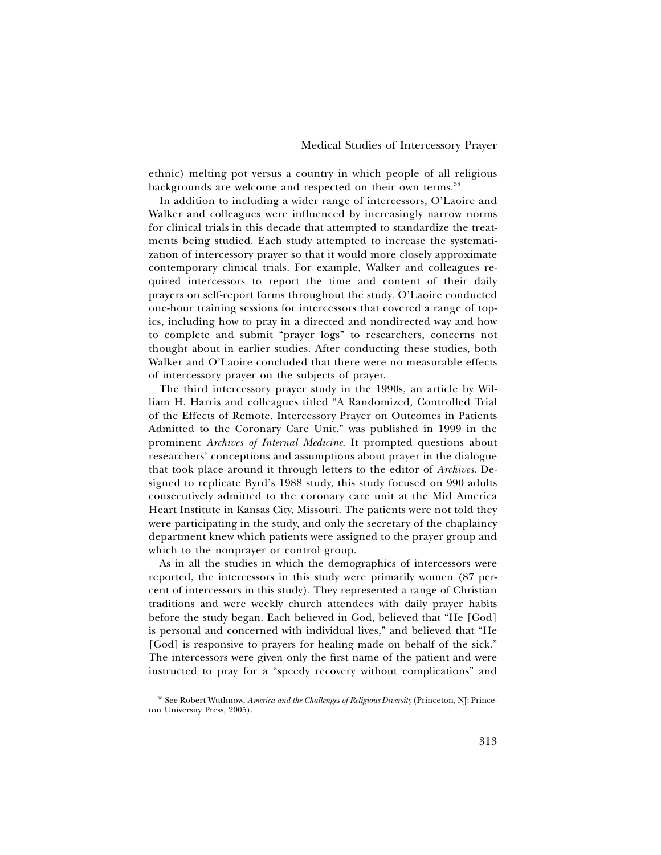ethnic) melting pot versus a country in which people of all religious backgrounds are welcome and respected on their own terms.<sup>38</sup>

In addition to including a wider range of intercessors, O'Laoire and Walker and colleagues were influenced by increasingly narrow norms for clinical trials in this decade that attempted to standardize the treatments being studied. Each study attempted to increase the systematization of intercessory prayer so that it would more closely approximate contemporary clinical trials. For example, Walker and colleagues required intercessors to report the time and content of their daily prayers on self-report forms throughout the study. O'Laoire conducted one-hour training sessions for intercessors that covered a range of topics, including how to pray in a directed and nondirected way and how to complete and submit "prayer logs" to researchers, concerns not thought about in earlier studies. After conducting these studies, both Walker and O'Laoire concluded that there were no measurable effects of intercessory prayer on the subjects of prayer.

The third intercessory prayer study in the 1990s, an article by William H. Harris and colleagues titled "A Randomized, Controlled Trial of the Effects of Remote, Intercessory Prayer on Outcomes in Patients Admitted to the Coronary Care Unit," was published in 1999 in the prominent *Archives of Internal Medicine*. It prompted questions about researchers' conceptions and assumptions about prayer in the dialogue that took place around it through letters to the editor of *Archives*. Designed to replicate Byrd's 1988 study, this study focused on 990 adults consecutively admitted to the coronary care unit at the Mid America Heart Institute in Kansas City, Missouri. The patients were not told they were participating in the study, and only the secretary of the chaplaincy department knew which patients were assigned to the prayer group and which to the nonprayer or control group.

As in all the studies in which the demographics of intercessors were reported, the intercessors in this study were primarily women (87 percent of intercessors in this study). They represented a range of Christian traditions and were weekly church attendees with daily prayer habits before the study began. Each believed in God, believed that "He [God] is personal and concerned with individual lives," and believed that "He [God] is responsive to prayers for healing made on behalf of the sick." The intercessors were given only the first name of the patient and were instructed to pray for a "speedy recovery without complications" and

<sup>38</sup> See Robert Wuthnow, *America and the Challenges of Religious Diversity* (Princeton, NJ: Princeton University Press, 2005).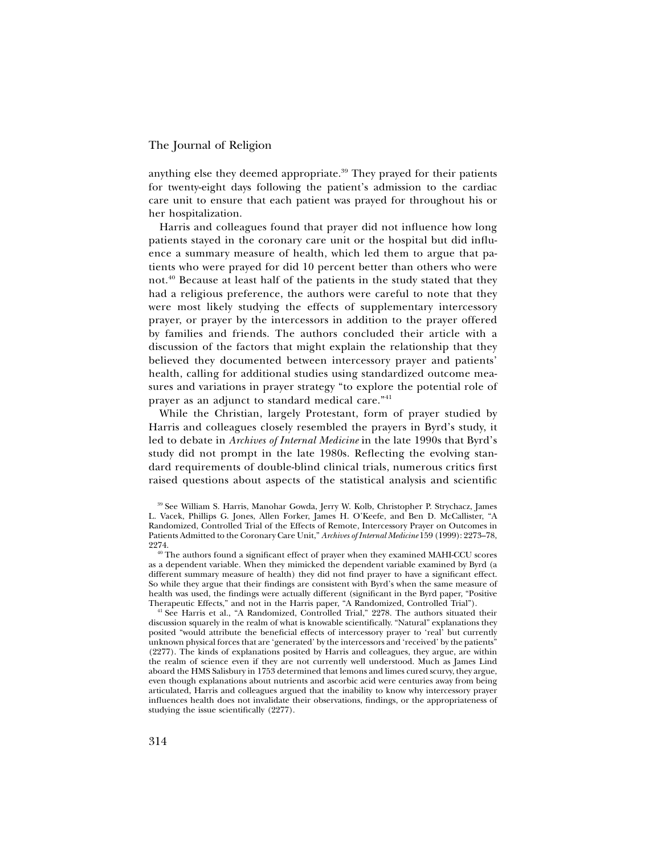anything else they deemed appropriate.<sup>39</sup> They prayed for their patients for twenty-eight days following the patient's admission to the cardiac care unit to ensure that each patient was prayed for throughout his or her hospitalization.

Harris and colleagues found that prayer did not influence how long patients stayed in the coronary care unit or the hospital but did influence a summary measure of health, which led them to argue that patients who were prayed for did 10 percent better than others who were not.<sup>40</sup> Because at least half of the patients in the study stated that they had a religious preference, the authors were careful to note that they were most likely studying the effects of supplementary intercessory prayer, or prayer by the intercessors in addition to the prayer offered by families and friends. The authors concluded their article with a discussion of the factors that might explain the relationship that they believed they documented between intercessory prayer and patients' health, calling for additional studies using standardized outcome measures and variations in prayer strategy "to explore the potential role of prayer as an adjunct to standard medical care."<sup>41</sup>

While the Christian, largely Protestant, form of prayer studied by Harris and colleagues closely resembled the prayers in Byrd's study, it led to debate in *Archives of Internal Medicine* in the late 1990s that Byrd's study did not prompt in the late 1980s. Reflecting the evolving standard requirements of double-blind clinical trials, numerous critics first raised questions about aspects of the statistical analysis and scientific

<sup>41</sup> See Harris et al., "A Randomized, Controlled Trial," 2278. The authors situated their discussion squarely in the realm of what is knowable scientifically. "Natural" explanations they posited "would attribute the beneficial effects of intercessory prayer to 'real' but currently unknown physical forces that are 'generated' by the intercessors and 'received' by the patients" (2277). The kinds of explanations posited by Harris and colleagues, they argue, are within the realm of science even if they are not currently well understood. Much as James Lind aboard the HMS Salisbury in 1753 determined that lemons and limes cured scurvy, they argue, even though explanations about nutrients and ascorbic acid were centuries away from being articulated, Harris and colleagues argued that the inability to know why intercessory prayer influences health does not invalidate their observations, findings, or the appropriateness of studying the issue scientifically (2277).

<sup>39</sup> See William S. Harris, Manohar Gowda, Jerry W. Kolb, Christopher P. Strychacz, James L. Vacek, Phillips G. Jones, Allen Forker, James H. O'Keefe, and Ben D. McCallister, "A Randomized, Controlled Trial of the Effects of Remote, Intercessory Prayer on Outcomes in Patients Admitted to the Coronary Care Unit," *Archives of Internal Medicine* 159 (1999): 2273–78, 2274.

<sup>40</sup> The authors found a significant effect of prayer when they examined MAHI-CCU scores as a dependent variable. When they mimicked the dependent variable examined by Byrd (a different summary measure of health) they did not find prayer to have a significant effect. So while they argue that their findings are consistent with Byrd's when the same measure of health was used, the findings were actually different (significant in the Byrd paper, "Positive Therapeutic Effects," and not in the Harris paper, "A Randomized, Controlled Trial").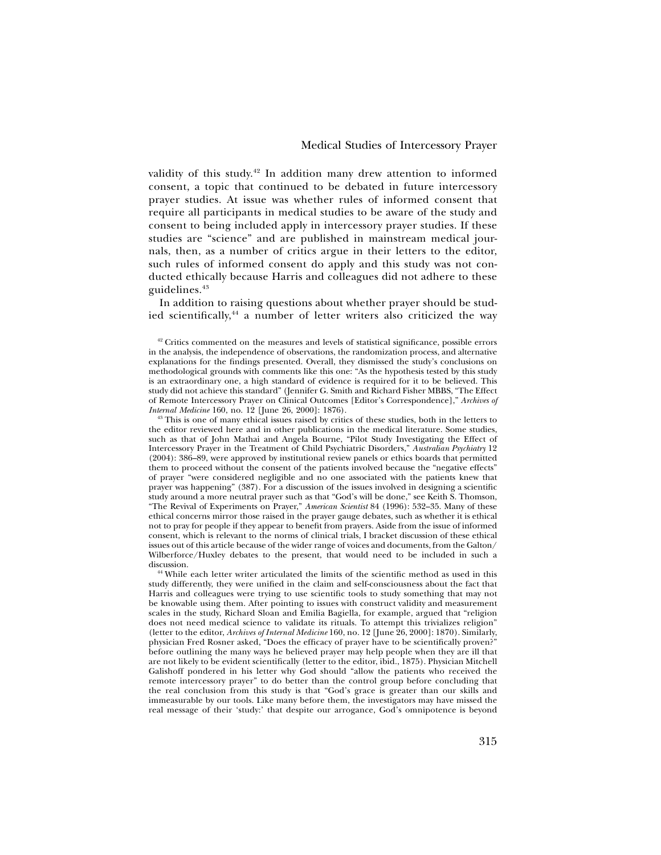validity of this study.<sup>42</sup> In addition many drew attention to informed consent, a topic that continued to be debated in future intercessory prayer studies. At issue was whether rules of informed consent that require all participants in medical studies to be aware of the study and consent to being included apply in intercessory prayer studies. If these studies are "science" and are published in mainstream medical journals, then, as a number of critics argue in their letters to the editor, such rules of informed consent do apply and this study was not conducted ethically because Harris and colleagues did not adhere to these guidelines.<sup>43</sup>

In addition to raising questions about whether prayer should be studied scientifically,<sup>44</sup> a number of letter writers also criticized the way

<sup>43</sup> This is one of many ethical issues raised by critics of these studies, both in the letters to the editor reviewed here and in other publications in the medical literature. Some studies, such as that of John Mathai and Angela Bourne, "Pilot Study Investigating the Effect of Intercessory Prayer in the Treatment of Child Psychiatric Disorders," *Australian Psychiatry* 12 (2004): 386–89, were approved by institutional review panels or ethics boards that permitted them to proceed without the consent of the patients involved because the "negative effects" of prayer "were considered negligible and no one associated with the patients knew that prayer was happening" (387). For a discussion of the issues involved in designing a scientific study around a more neutral prayer such as that "God's will be done," see Keith S. Thomson, "The Revival of Experiments on Prayer," *American Scientist* 84 (1996): 532–35. Many of these ethical concerns mirror those raised in the prayer gauge debates, such as whether it is ethical not to pray for people if they appear to benefit from prayers. Aside from the issue of informed consent, which is relevant to the norms of clinical trials, I bracket discussion of these ethical issues out of this article because of the wider range of voices and documents, from the Galton/ Wilberforce/Huxley debates to the present, that would need to be included in such a discussion.

<sup>44</sup> While each letter writer articulated the limits of the scientific method as used in this study differently, they were unified in the claim and self-consciousness about the fact that Harris and colleagues were trying to use scientific tools to study something that may not be knowable using them. After pointing to issues with construct validity and measurement scales in the study, Richard Sloan and Emilia Bagiella, for example, argued that "religion does not need medical science to validate its rituals. To attempt this trivializes religion" (letter to the editor, *Archives of Internal Medicine* 160, no. 12 [June 26, 2000]: 1870). Similarly, physician Fred Rosner asked, "Does the efficacy of prayer have to be scientifically proven?" before outlining the many ways he believed prayer may help people when they are ill that are not likely to be evident scientifically (letter to the editor, ibid., 1875). Physician Mitchell Galishoff pondered in his letter why God should "allow the patients who received the remote intercessory prayer" to do better than the control group before concluding that the real conclusion from this study is that "God's grace is greater than our skills and immeasurable by our tools. Like many before them, the investigators may have missed the real message of their 'study:' that despite our arrogance, God's omnipotence is beyond

 $42$  Critics commented on the measures and levels of statistical significance, possible errors in the analysis, the independence of observations, the randomization process, and alternative explanations for the findings presented. Overall, they dismissed the study's conclusions on methodological grounds with comments like this one: "As the hypothesis tested by this study is an extraordinary one, a high standard of evidence is required for it to be believed. This study did not achieve this standard" (Jennifer G. Smith and Richard Fisher MBBS, "The Effect of Remote Intercessory Prayer on Clinical Outcomes [Editor's Correspondence]," *Archives of Internal Medicine* 160, no. 12 [June 26, 2000]: 1876).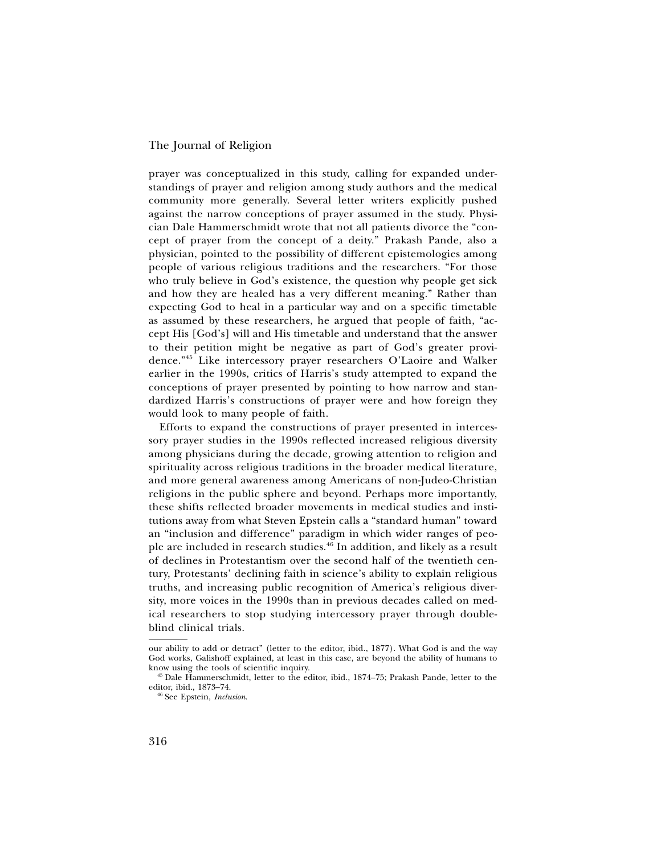prayer was conceptualized in this study, calling for expanded understandings of prayer and religion among study authors and the medical community more generally. Several letter writers explicitly pushed against the narrow conceptions of prayer assumed in the study. Physician Dale Hammerschmidt wrote that not all patients divorce the "concept of prayer from the concept of a deity." Prakash Pande, also a physician, pointed to the possibility of different epistemologies among people of various religious traditions and the researchers. "For those who truly believe in God's existence, the question why people get sick and how they are healed has a very different meaning." Rather than expecting God to heal in a particular way and on a specific timetable as assumed by these researchers, he argued that people of faith, "accept His [God's] will and His timetable and understand that the answer to their petition might be negative as part of God's greater providence."<sup>45</sup> Like intercessory prayer researchers O'Laoire and Walker earlier in the 1990s, critics of Harris's study attempted to expand the conceptions of prayer presented by pointing to how narrow and standardized Harris's constructions of prayer were and how foreign they would look to many people of faith.

Efforts to expand the constructions of prayer presented in intercessory prayer studies in the 1990s reflected increased religious diversity among physicians during the decade, growing attention to religion and spirituality across religious traditions in the broader medical literature, and more general awareness among Americans of non-Judeo-Christian religions in the public sphere and beyond. Perhaps more importantly, these shifts reflected broader movements in medical studies and institutions away from what Steven Epstein calls a "standard human" toward an "inclusion and difference" paradigm in which wider ranges of people are included in research studies.<sup>46</sup> In addition, and likely as a result of declines in Protestantism over the second half of the twentieth century, Protestants' declining faith in science's ability to explain religious truths, and increasing public recognition of America's religious diversity, more voices in the 1990s than in previous decades called on medical researchers to stop studying intercessory prayer through doubleblind clinical trials.

our ability to add or detract" (letter to the editor, ibid., 1877). What God is and the way God works, Galishoff explained, at least in this case, are beyond the ability of humans to know using the tools of scientific inquiry.

<sup>45</sup> Dale Hammerschmidt, letter to the editor, ibid., 1874–75; Prakash Pande, letter to the editor, ibid., 1873–74.

<sup>46</sup> See Epstein, *Inclusion*.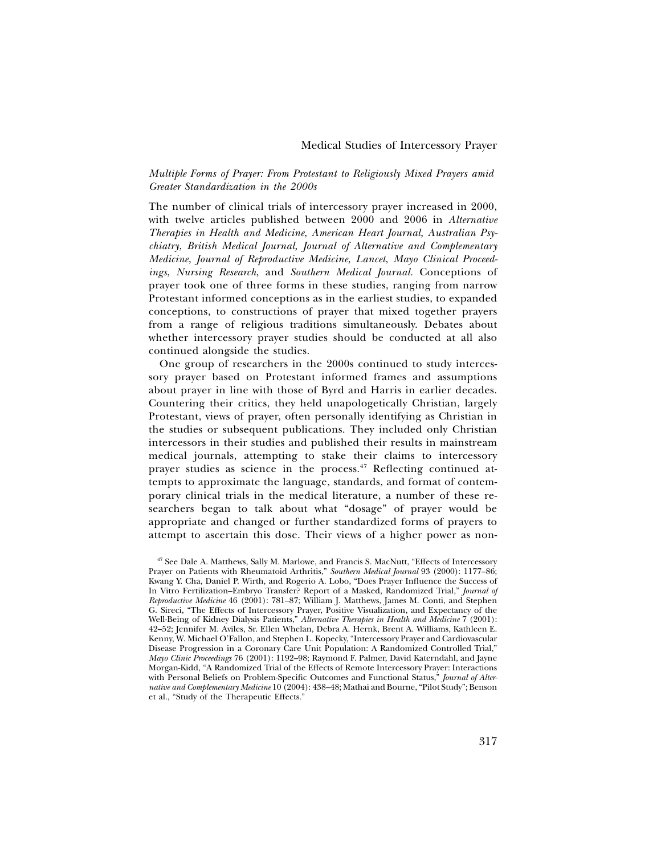*Multiple Forms of Prayer: From Protestant to Religiously Mixed Prayers amid Greater Standardization in the 2000s*

The number of clinical trials of intercessory prayer increased in 2000, with twelve articles published between 2000 and 2006 in *Alternative Therapies in Health and Medicine*, *American Heart Journal*, *Australian Psychiatry*, *British Medical Journal*, *Journal of Alternative and Complementary Medicine*, *Journal of Reproductive Medicine*, *Lancet*, *Mayo Clinical Proceedings*, *Nursing Research*, and *Southern Medical Journal.* Conceptions of prayer took one of three forms in these studies, ranging from narrow Protestant informed conceptions as in the earliest studies, to expanded conceptions, to constructions of prayer that mixed together prayers from a range of religious traditions simultaneously. Debates about whether intercessory prayer studies should be conducted at all also continued alongside the studies.

One group of researchers in the 2000s continued to study intercessory prayer based on Protestant informed frames and assumptions about prayer in line with those of Byrd and Harris in earlier decades. Countering their critics, they held unapologetically Christian, largely Protestant, views of prayer, often personally identifying as Christian in the studies or subsequent publications. They included only Christian intercessors in their studies and published their results in mainstream medical journals, attempting to stake their claims to intercessory prayer studies as science in the process.<sup>47</sup> Reflecting continued attempts to approximate the language, standards, and format of contemporary clinical trials in the medical literature, a number of these researchers began to talk about what "dosage" of prayer would be appropriate and changed or further standardized forms of prayers to attempt to ascertain this dose. Their views of a higher power as non-

<sup>47</sup> See Dale A. Matthews, Sally M. Marlowe, and Francis S. MacNutt, "Effects of Intercessory Prayer on Patients with Rheumatoid Arthritis," *Southern Medical Journal* 93 (2000): 1177–86; Kwang Y. Cha, Daniel P. Wirth, and Rogerio A. Lobo, "Does Prayer Influence the Success of In Vitro Fertilization–Embryo Transfer? Report of a Masked, Randomized Trial," *Journal of Reproductive Medicine* 46 (2001): 781–87; William J. Matthews, James M. Conti, and Stephen G. Sireci, "The Effects of Intercessory Prayer, Positive Visualization, and Expectancy of the Well-Being of Kidney Dialysis Patients," *Alternative Therapies in Health and Medicine* 7 (2001): 42–52; Jennifer M. Aviles, Sr. Ellen Whelan, Debra A. Hernk, Brent A. Williams, Kathleen E. Kenny, W. Michael O'Fallon, and Stephen L. Kopecky, "Intercessory Prayer and Cardiovascular Disease Progression in a Coronary Care Unit Population: A Randomized Controlled Trial," *Mayo Clinic Proceedings* 76 (2001): 1192–98; Raymond F. Palmer, David Katerndahl, and Jayne Morgan-Kidd, "A Randomized Trial of the Effects of Remote Intercessory Prayer: Interactions with Personal Beliefs on Problem-Specific Outcomes and Functional Status," *Journal of Alternative and Complementary Medicine* 10 (2004): 438–48; Mathai and Bourne, "Pilot Study"; Benson et al., "Study of the Therapeutic Effects."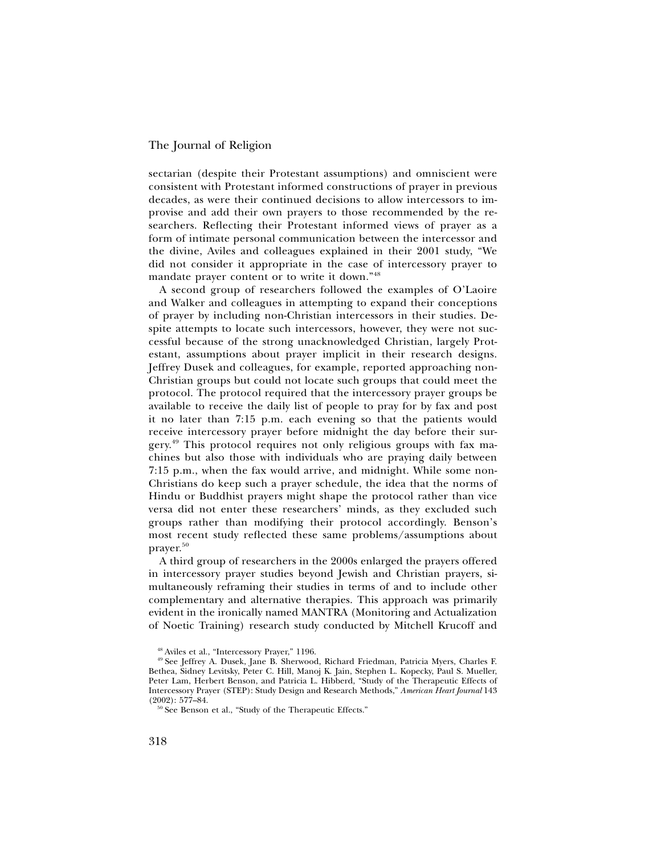sectarian (despite their Protestant assumptions) and omniscient were consistent with Protestant informed constructions of prayer in previous decades, as were their continued decisions to allow intercessors to improvise and add their own prayers to those recommended by the researchers. Reflecting their Protestant informed views of prayer as a form of intimate personal communication between the intercessor and the divine, Aviles and colleagues explained in their 2001 study, "We did not consider it appropriate in the case of intercessory prayer to mandate prayer content or to write it down."<sup>48</sup>

A second group of researchers followed the examples of O'Laoire and Walker and colleagues in attempting to expand their conceptions of prayer by including non-Christian intercessors in their studies. Despite attempts to locate such intercessors, however, they were not successful because of the strong unacknowledged Christian, largely Protestant, assumptions about prayer implicit in their research designs. Jeffrey Dusek and colleagues, for example, reported approaching non-Christian groups but could not locate such groups that could meet the protocol. The protocol required that the intercessory prayer groups be available to receive the daily list of people to pray for by fax and post it no later than 7:15 p.m. each evening so that the patients would receive intercessory prayer before midnight the day before their surgery.<sup>49</sup> This protocol requires not only religious groups with fax machines but also those with individuals who are praying daily between 7:15 p.m., when the fax would arrive, and midnight. While some non-Christians do keep such a prayer schedule, the idea that the norms of Hindu or Buddhist prayers might shape the protocol rather than vice versa did not enter these researchers' minds, as they excluded such groups rather than modifying their protocol accordingly. Benson's most recent study reflected these same problems/assumptions about prayer.<sup>50</sup>

A third group of researchers in the 2000s enlarged the prayers offered in intercessory prayer studies beyond Jewish and Christian prayers, simultaneously reframing their studies in terms of and to include other complementary and alternative therapies. This approach was primarily evident in the ironically named MANTRA (Monitoring and Actualization of Noetic Training) research study conducted by Mitchell Krucoff and

<sup>48</sup> Aviles et al., "Intercessory Prayer," 1196.

<sup>49</sup> See Jeffrey A. Dusek, Jane B. Sherwood, Richard Friedman, Patricia Myers, Charles F. Bethea, Sidney Levitsky, Peter C. Hill, Manoj K. Jain, Stephen L. Kopecky, Paul S. Mueller, Peter Lam, Herbert Benson, and Patricia L. Hibberd, "Study of the Therapeutic Effects of Intercessory Prayer (STEP): Study Design and Research Methods," *American Heart Journal* 143  $(2002): 577 - 84.$ 

<sup>50</sup> See Benson et al., "Study of the Therapeutic Effects."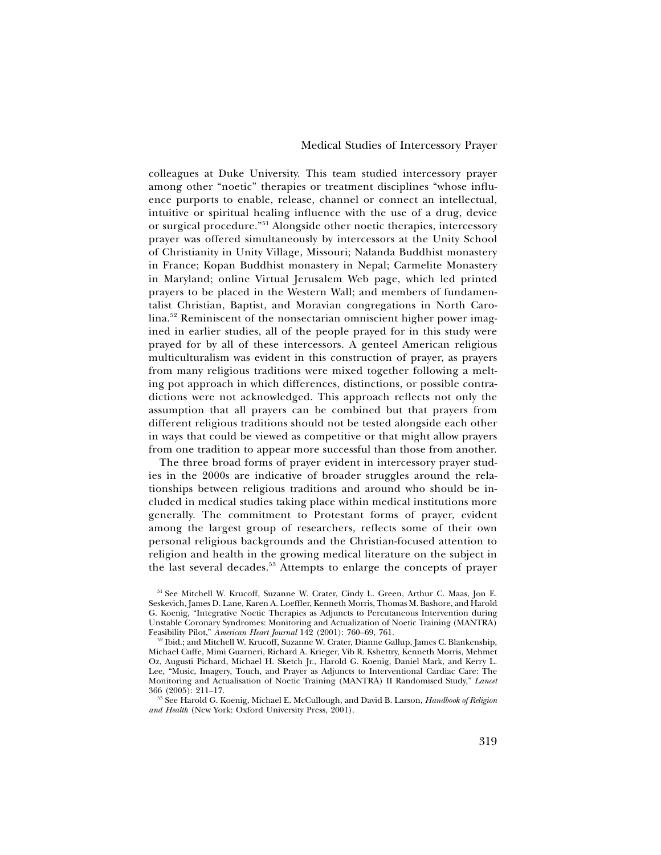colleagues at Duke University. This team studied intercessory prayer among other "noetic" therapies or treatment disciplines "whose influence purports to enable, release, channel or connect an intellectual, intuitive or spiritual healing influence with the use of a drug, device or surgical procedure."<sup>51</sup> Alongside other noetic therapies, intercessory prayer was offered simultaneously by intercessors at the Unity School of Christianity in Unity Village, Missouri; Nalanda Buddhist monastery in France; Kopan Buddhist monastery in Nepal; Carmelite Monastery in Maryland; online Virtual Jerusalem Web page, which led printed prayers to be placed in the Western Wall; and members of fundamentalist Christian, Baptist, and Moravian congregations in North Carolina.<sup>52</sup> Reminiscent of the nonsectarian omniscient higher power imagined in earlier studies, all of the people prayed for in this study were prayed for by all of these intercessors. A genteel American religious multiculturalism was evident in this construction of prayer, as prayers from many religious traditions were mixed together following a melting pot approach in which differences, distinctions, or possible contradictions were not acknowledged. This approach reflects not only the assumption that all prayers can be combined but that prayers from different religious traditions should not be tested alongside each other in ways that could be viewed as competitive or that might allow prayers from one tradition to appear more successful than those from another.

The three broad forms of prayer evident in intercessory prayer studies in the 2000s are indicative of broader struggles around the relationships between religious traditions and around who should be included in medical studies taking place within medical institutions more generally. The commitment to Protestant forms of prayer, evident among the largest group of researchers, reflects some of their own personal religious backgrounds and the Christian-focused attention to religion and health in the growing medical literature on the subject in the last several decades.<sup>53</sup> Attempts to enlarge the concepts of prayer

<sup>51</sup> See Mitchell W. Krucoff, Suzanne W. Crater, Cindy L. Green, Arthur C. Maas, Jon E. Seskevich, James D. Lane, Karen A. Loeffler, Kenneth Morris, Thomas M. Bashore, and Harold G. Koenig, "Integrative Noetic Therapies as Adjuncts to Percutaneous Intervention during Unstable Coronary Syndromes: Monitoring and Actualization of Noetic Training (MANTRA) Feasibility Pilot," *American Heart Journal* 142 (2001): 760–69, 761.

<sup>52</sup> Ibid.; and Mitchell W. Krucoff, Suzanne W. Crater, Dianne Gallup, James C. Blankenship, Michael Cuffe, Mimi Guarneri, Richard A. Krieger, Vib R. Kshettry, Kenneth Morris, Mehmet Oz, Augusti Pichard, Michael H. Sketch Jr., Harold G. Koenig, Daniel Mark, and Kerry L. Lee, "Music, Imagery, Touch, and Prayer as Adjuncts to Interventional Cardiac Care: The Monitoring and Actualisation of Noetic Training (MANTRA) II Randomised Study," *Lancet* 366 (2005): 211–17.

<sup>53</sup> See Harold G. Koenig, Michael E. McCullough, and David B. Larson, *Handbook of Religion and Health* (New York: Oxford University Press, 2001).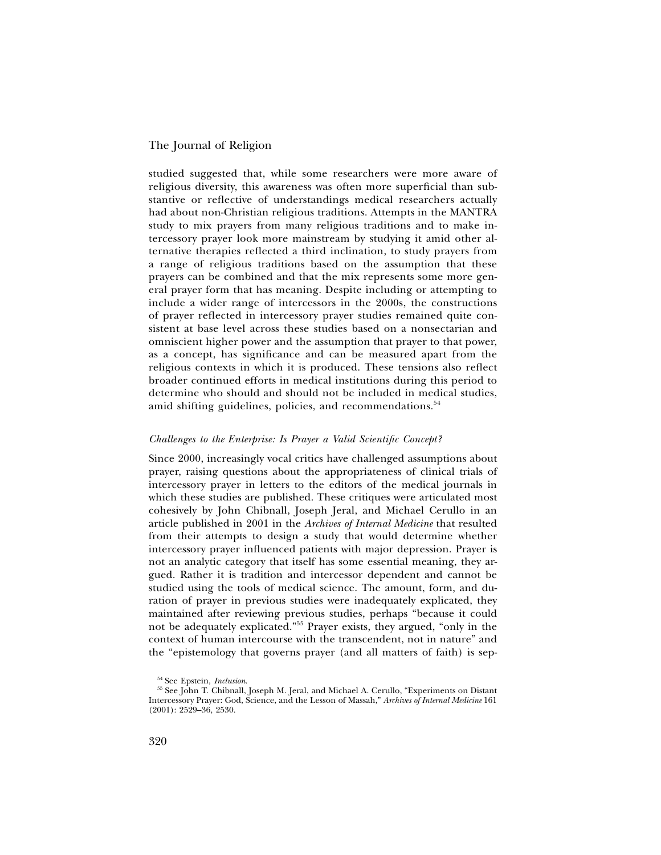studied suggested that, while some researchers were more aware of religious diversity, this awareness was often more superficial than substantive or reflective of understandings medical researchers actually had about non-Christian religious traditions. Attempts in the MANTRA study to mix prayers from many religious traditions and to make intercessory prayer look more mainstream by studying it amid other alternative therapies reflected a third inclination, to study prayers from a range of religious traditions based on the assumption that these prayers can be combined and that the mix represents some more general prayer form that has meaning. Despite including or attempting to include a wider range of intercessors in the 2000s, the constructions of prayer reflected in intercessory prayer studies remained quite consistent at base level across these studies based on a nonsectarian and omniscient higher power and the assumption that prayer to that power, as a concept, has significance and can be measured apart from the religious contexts in which it is produced. These tensions also reflect broader continued efforts in medical institutions during this period to determine who should and should not be included in medical studies, amid shifting guidelines, policies, and recommendations.<sup>54</sup>

#### *Challenges to the Enterprise: Is Prayer a Valid Scientific Concept?*

Since 2000, increasingly vocal critics have challenged assumptions about prayer, raising questions about the appropriateness of clinical trials of intercessory prayer in letters to the editors of the medical journals in which these studies are published. These critiques were articulated most cohesively by John Chibnall, Joseph Jeral, and Michael Cerullo in an article published in 2001 in the *Archives of Internal Medicine* that resulted from their attempts to design a study that would determine whether intercessory prayer influenced patients with major depression. Prayer is not an analytic category that itself has some essential meaning, they argued. Rather it is tradition and intercessor dependent and cannot be studied using the tools of medical science. The amount, form, and duration of prayer in previous studies were inadequately explicated, they maintained after reviewing previous studies, perhaps "because it could not be adequately explicated."<sup>55</sup> Prayer exists, they argued, "only in the context of human intercourse with the transcendent, not in nature" and the "epistemology that governs prayer (and all matters of faith) is sep-

<sup>54</sup> See Epstein, *Inclusion*.

<sup>55</sup> See John T. Chibnall, Joseph M. Jeral, and Michael A. Cerullo, "Experiments on Distant Intercessory Prayer: God, Science, and the Lesson of Massah," *Archives of Internal Medicine* 161 (2001): 2529–36, 2530.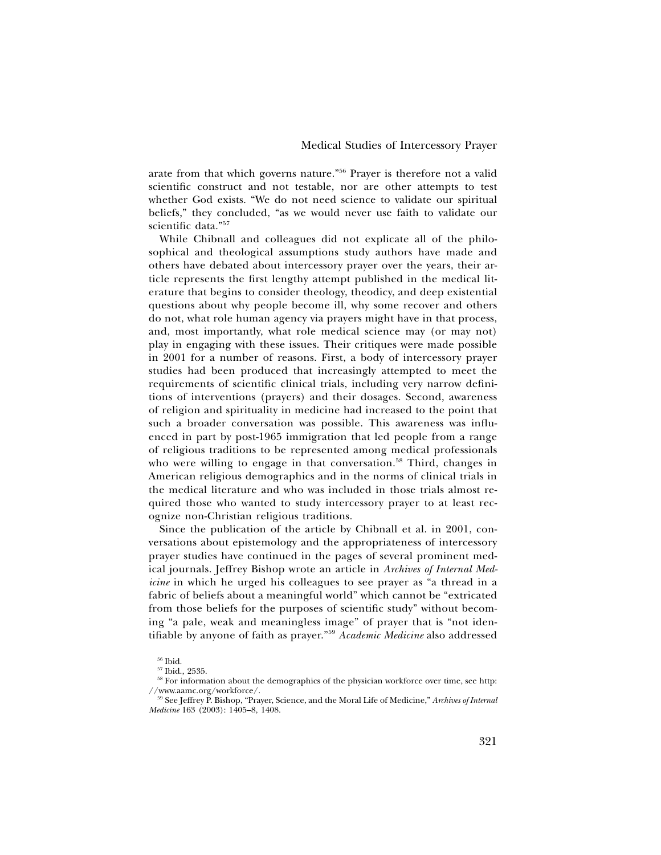arate from that which governs nature."<sup>56</sup> Prayer is therefore not a valid scientific construct and not testable, nor are other attempts to test whether God exists. "We do not need science to validate our spiritual beliefs," they concluded, "as we would never use faith to validate our scientific data."<sup>57</sup>

While Chibnall and colleagues did not explicate all of the philosophical and theological assumptions study authors have made and others have debated about intercessory prayer over the years, their article represents the first lengthy attempt published in the medical literature that begins to consider theology, theodicy, and deep existential questions about why people become ill, why some recover and others do not, what role human agency via prayers might have in that process, and, most importantly, what role medical science may (or may not) play in engaging with these issues. Their critiques were made possible in 2001 for a number of reasons. First, a body of intercessory prayer studies had been produced that increasingly attempted to meet the requirements of scientific clinical trials, including very narrow definitions of interventions (prayers) and their dosages. Second, awareness of religion and spirituality in medicine had increased to the point that such a broader conversation was possible. This awareness was influenced in part by post-1965 immigration that led people from a range of religious traditions to be represented among medical professionals who were willing to engage in that conversation.<sup>58</sup> Third, changes in American religious demographics and in the norms of clinical trials in the medical literature and who was included in those trials almost required those who wanted to study intercessory prayer to at least recognize non-Christian religious traditions.

Since the publication of the article by Chibnall et al. in 2001, conversations about epistemology and the appropriateness of intercessory prayer studies have continued in the pages of several prominent medical journals. Jeffrey Bishop wrote an article in *Archives of Internal Medicine* in which he urged his colleagues to see prayer as "a thread in a fabric of beliefs about a meaningful world" which cannot be "extricated from those beliefs for the purposes of scientific study" without becoming "a pale, weak and meaningless image" of prayer that is "not identifiable by anyone of faith as prayer."<sup>59</sup> *Academic Medicine* also addressed

<sup>56</sup> Ibid.

 $^{\rm 57}$  Ibid., 2535.

<sup>&</sup>lt;sup>58</sup> For information about the demographics of the physician workforce over time, see http: //www.aamc.org/workforce/.

<sup>59</sup> See Jeffrey P. Bishop, "Prayer, Science, and the Moral Life of Medicine," *Archives of Internal Medicine* 163 (2003): 1405–8, 1408.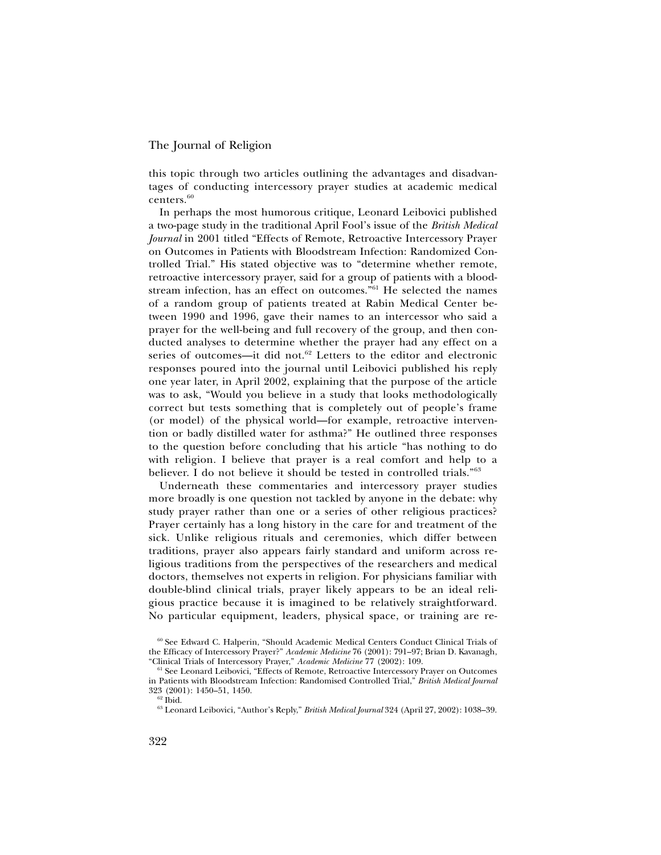this topic through two articles outlining the advantages and disadvantages of conducting intercessory prayer studies at academic medical centers.<sup>60</sup>

In perhaps the most humorous critique, Leonard Leibovici published a two-page study in the traditional April Fool's issue of the *British Medical Journal* in 2001 titled "Effects of Remote, Retroactive Intercessory Prayer on Outcomes in Patients with Bloodstream Infection: Randomized Controlled Trial." His stated objective was to "determine whether remote, retroactive intercessory prayer, said for a group of patients with a bloodstream infection, has an effect on outcomes."<sup>61</sup> He selected the names of a random group of patients treated at Rabin Medical Center between 1990 and 1996, gave their names to an intercessor who said a prayer for the well-being and full recovery of the group, and then conducted analyses to determine whether the prayer had any effect on a series of outcomes—it did not.<sup>62</sup> Letters to the editor and electronic responses poured into the journal until Leibovici published his reply one year later, in April 2002, explaining that the purpose of the article was to ask, "Would you believe in a study that looks methodologically correct but tests something that is completely out of people's frame (or model) of the physical world—for example, retroactive intervention or badly distilled water for asthma?" He outlined three responses to the question before concluding that his article "has nothing to do with religion. I believe that prayer is a real comfort and help to a believer. I do not believe it should be tested in controlled trials.<sup>"63</sup>

Underneath these commentaries and intercessory prayer studies more broadly is one question not tackled by anyone in the debate: why study prayer rather than one or a series of other religious practices? Prayer certainly has a long history in the care for and treatment of the sick. Unlike religious rituals and ceremonies, which differ between traditions, prayer also appears fairly standard and uniform across religious traditions from the perspectives of the researchers and medical doctors, themselves not experts in religion. For physicians familiar with double-blind clinical trials, prayer likely appears to be an ideal religious practice because it is imagined to be relatively straightforward. No particular equipment, leaders, physical space, or training are re-

<sup>60</sup> See Edward C. Halperin, "Should Academic Medical Centers Conduct Clinical Trials of the Efficacy of Intercessory Prayer?" *Academic Medicine* 76 (2001): 791–97; Brian D. Kavanagh, "Clinical Trials of Intercessory Prayer," *Academic Medicine* 77 (2002): 109.

<sup>&</sup>lt;sup>1</sup> See Leonard Leibovici, "Effects of Remote, Retroactive Intercessory Prayer on Outcomes in Patients with Bloodstream Infection: Randomised Controlled Trial," *British Medical Journal* 323 (2001): 1450–51, 1450.

 $\rm ^{62}$ Ibid.

<sup>63</sup> Leonard Leibovici, "Author's Reply," *British Medical Journal* 324 (April 27, 2002): 1038–39.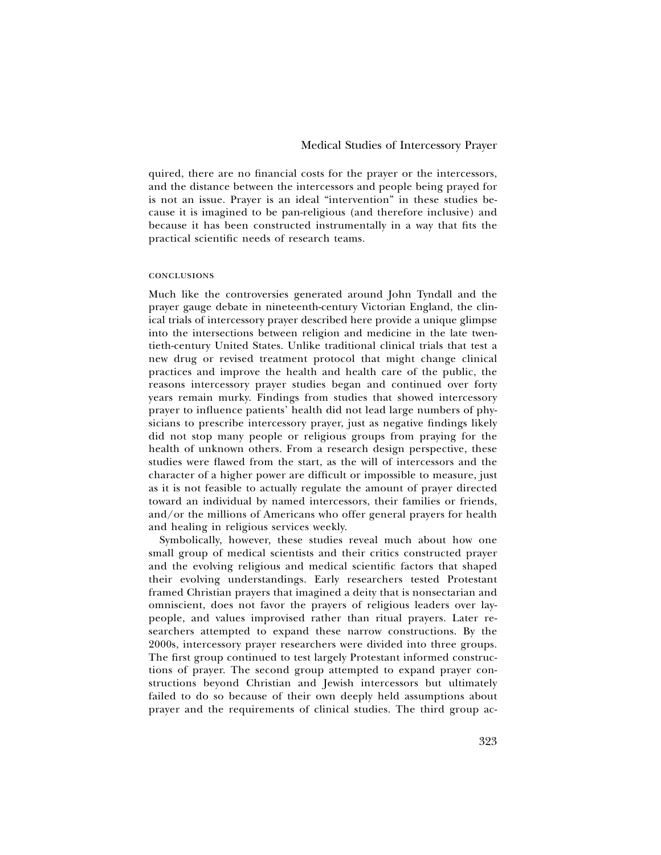quired, there are no financial costs for the prayer or the intercessors, and the distance between the intercessors and people being prayed for is not an issue. Prayer is an ideal "intervention" in these studies because it is imagined to be pan-religious (and therefore inclusive) and because it has been constructed instrumentally in a way that fits the practical scientific needs of research teams.

#### conclusions

Much like the controversies generated around John Tyndall and the prayer gauge debate in nineteenth-century Victorian England, the clinical trials of intercessory prayer described here provide a unique glimpse into the intersections between religion and medicine in the late twentieth-century United States. Unlike traditional clinical trials that test a new drug or revised treatment protocol that might change clinical practices and improve the health and health care of the public, the reasons intercessory prayer studies began and continued over forty years remain murky. Findings from studies that showed intercessory prayer to influence patients' health did not lead large numbers of physicians to prescribe intercessory prayer, just as negative findings likely did not stop many people or religious groups from praying for the health of unknown others. From a research design perspective, these studies were flawed from the start, as the will of intercessors and the character of a higher power are difficult or impossible to measure, just as it is not feasible to actually regulate the amount of prayer directed toward an individual by named intercessors, their families or friends, and/or the millions of Americans who offer general prayers for health and healing in religious services weekly.

Symbolically, however, these studies reveal much about how one small group of medical scientists and their critics constructed prayer and the evolving religious and medical scientific factors that shaped their evolving understandings. Early researchers tested Protestant framed Christian prayers that imagined a deity that is nonsectarian and omniscient, does not favor the prayers of religious leaders over laypeople, and values improvised rather than ritual prayers. Later researchers attempted to expand these narrow constructions. By the 2000s, intercessory prayer researchers were divided into three groups. The first group continued to test largely Protestant informed constructions of prayer. The second group attempted to expand prayer constructions beyond Christian and Jewish intercessors but ultimately failed to do so because of their own deeply held assumptions about prayer and the requirements of clinical studies. The third group ac-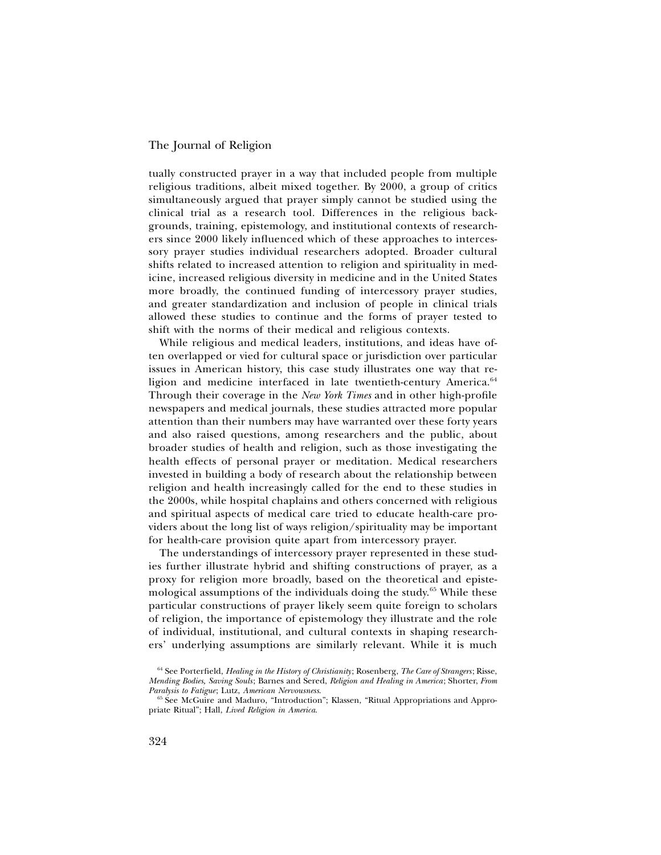tually constructed prayer in a way that included people from multiple religious traditions, albeit mixed together. By 2000, a group of critics simultaneously argued that prayer simply cannot be studied using the clinical trial as a research tool. Differences in the religious backgrounds, training, epistemology, and institutional contexts of researchers since 2000 likely influenced which of these approaches to intercessory prayer studies individual researchers adopted. Broader cultural shifts related to increased attention to religion and spirituality in medicine, increased religious diversity in medicine and in the United States more broadly, the continued funding of intercessory prayer studies, and greater standardization and inclusion of people in clinical trials allowed these studies to continue and the forms of prayer tested to shift with the norms of their medical and religious contexts.

While religious and medical leaders, institutions, and ideas have often overlapped or vied for cultural space or jurisdiction over particular issues in American history, this case study illustrates one way that religion and medicine interfaced in late twentieth-century America.<sup>64</sup> Through their coverage in the *New York Times* and in other high-profile newspapers and medical journals, these studies attracted more popular attention than their numbers may have warranted over these forty years and also raised questions, among researchers and the public, about broader studies of health and religion, such as those investigating the health effects of personal prayer or meditation. Medical researchers invested in building a body of research about the relationship between religion and health increasingly called for the end to these studies in the 2000s, while hospital chaplains and others concerned with religious and spiritual aspects of medical care tried to educate health-care providers about the long list of ways religion/spirituality may be important for health-care provision quite apart from intercessory prayer.

The understandings of intercessory prayer represented in these studies further illustrate hybrid and shifting constructions of prayer, as a proxy for religion more broadly, based on the theoretical and epistemological assumptions of the individuals doing the study.<sup>65</sup> While these particular constructions of prayer likely seem quite foreign to scholars of religion, the importance of epistemology they illustrate and the role of individual, institutional, and cultural contexts in shaping researchers' underlying assumptions are similarly relevant. While it is much

<sup>64</sup> See Porterfield, *Healing in the History of Christianity*; Rosenberg, *The Care of Strangers*; Risse, *Mending Bodies, Saving Souls*; Barnes and Sered, *Religion and Healing in America*; Shorter, *From Paralysis to Fatigue*; Lutz, *American Nervousness*.

<sup>&</sup>lt;sup>65</sup> See McGuire and Maduro, "Introduction"; Klassen, "Ritual Appropriations and Appropriate Ritual"; Hall, *Lived Religion in America*.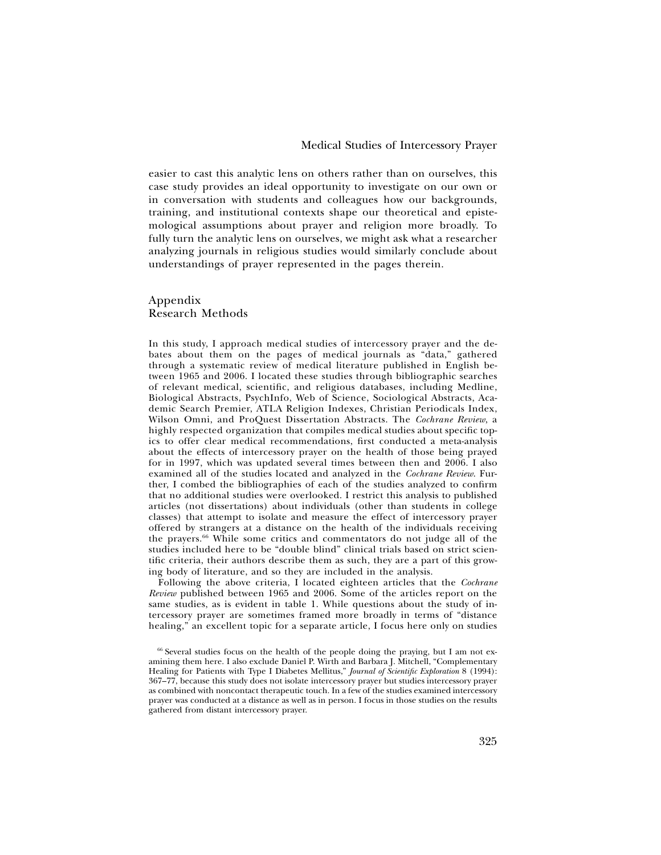easier to cast this analytic lens on others rather than on ourselves, this case study provides an ideal opportunity to investigate on our own or in conversation with students and colleagues how our backgrounds, training, and institutional contexts shape our theoretical and epistemological assumptions about prayer and religion more broadly. To fully turn the analytic lens on ourselves, we might ask what a researcher analyzing journals in religious studies would similarly conclude about understandings of prayer represented in the pages therein.

#### Appendix Research Methods

In this study, I approach medical studies of intercessory prayer and the debates about them on the pages of medical journals as "data," gathered through a systematic review of medical literature published in English between 1965 and 2006. I located these studies through bibliographic searches of relevant medical, scientific, and religious databases, including Medline, Biological Abstracts, PsychInfo, Web of Science, Sociological Abstracts, Academic Search Premier, ATLA Religion Indexes, Christian Periodicals Index, Wilson Omni, and ProQuest Dissertation Abstracts. The *Cochrane Review*, a highly respected organization that compiles medical studies about specific topics to offer clear medical recommendations, first conducted a meta-analysis about the effects of intercessory prayer on the health of those being prayed for in 1997, which was updated several times between then and 2006. I also examined all of the studies located and analyzed in the *Cochrane Review*. Further, I combed the bibliographies of each of the studies analyzed to confirm that no additional studies were overlooked. I restrict this analysis to published articles (not dissertations) about individuals (other than students in college classes) that attempt to isolate and measure the effect of intercessory prayer offered by strangers at a distance on the health of the individuals receiving the prayers.<sup>66</sup> While some critics and commentators do not judge all of the studies included here to be "double blind" clinical trials based on strict scientific criteria, their authors describe them as such, they are a part of this growing body of literature, and so they are included in the analysis.

Following the above criteria, I located eighteen articles that the *Cochrane Review* published between 1965 and 2006. Some of the articles report on the same studies, as is evident in table 1. While questions about the study of intercessory prayer are sometimes framed more broadly in terms of "distance healing," an excellent topic for a separate article, I focus here only on studies

<sup>66</sup> Several studies focus on the health of the people doing the praying, but I am not examining them here. I also exclude Daniel P. Wirth and Barbara J. Mitchell, "Complementary Healing for Patients with Type I Diabetes Mellitus," *Journal of Scientific Exploration* 8 (1994): 367–77, because this study does not isolate intercessory prayer but studies intercessory prayer as combined with noncontact therapeutic touch. In a few of the studies examined intercessory prayer was conducted at a distance as well as in person. I focus in those studies on the results gathered from distant intercessory prayer.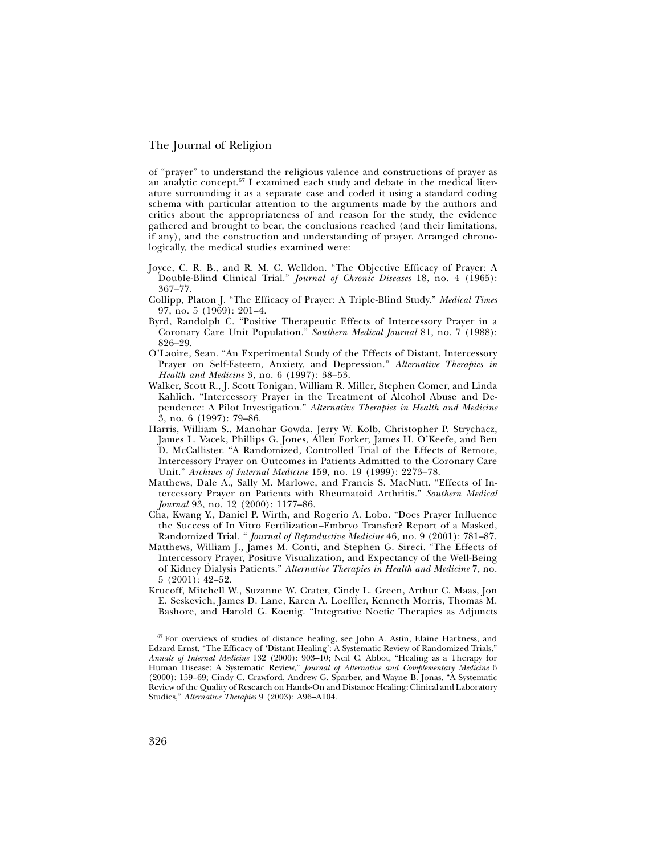of "prayer" to understand the religious valence and constructions of prayer as an analytic concept.<sup>67</sup> I examined each study and debate in the medical literature surrounding it as a separate case and coded it using a standard coding schema with particular attention to the arguments made by the authors and critics about the appropriateness of and reason for the study, the evidence gathered and brought to bear, the conclusions reached (and their limitations, if any), and the construction and understanding of prayer. Arranged chronologically, the medical studies examined were:

- Joyce, C. R. B., and R. M. C. Welldon. "The Objective Efficacy of Prayer: A Double-Blind Clinical Trial." *Journal of Chronic Diseases* 18, no. 4 (1965): 367–77.
- Collipp, Platon J. "The Efficacy of Prayer: A Triple-Blind Study." *Medical Times* 97, no. 5 (1969): 201–4.
- Byrd, Randolph C. "Positive Therapeutic Effects of Intercessory Prayer in a Coronary Care Unit Population." *Southern Medical Journal* 81, no. 7 (1988): 826–29.
- O'Laoire, Sean. "An Experimental Study of the Effects of Distant, Intercessory Prayer on Self-Esteem, Anxiety, and Depression." *Alternative Therapies in Health and Medicine* 3, no. 6 (1997): 38–53.
- Walker, Scott R., J. Scott Tonigan, William R. Miller, Stephen Comer, and Linda Kahlich. "Intercessory Prayer in the Treatment of Alcohol Abuse and Dependence: A Pilot Investigation." *Alternative Therapies in Health and Medicine* 3, no. 6 (1997): 79–86.
- Harris, William S., Manohar Gowda, Jerry W. Kolb, Christopher P. Strychacz, James L. Vacek, Phillips G. Jones, Allen Forker, James H. O'Keefe, and Ben D. McCallister. "A Randomized, Controlled Trial of the Effects of Remote, Intercessory Prayer on Outcomes in Patients Admitted to the Coronary Care Unit." *Archives of Internal Medicine* 159, no. 19 (1999): 2273–78.
- Matthews, Dale A., Sally M. Marlowe, and Francis S. MacNutt. "Effects of Intercessory Prayer on Patients with Rheumatoid Arthritis." *Southern Medical Journal* 93, no. 12 (2000): 1177–86.
- Cha, Kwang Y., Daniel P. Wirth, and Rogerio A. Lobo. "Does Prayer Influence the Success of In Vitro Fertilization–Embryo Transfer? Report of a Masked, Randomized Trial. " *Journal of Reproductive Medicine* 46, no. 9 (2001): 781–87.
- Matthews, William J., James M. Conti, and Stephen G. Sireci. "The Effects of Intercessory Prayer, Positive Visualization, and Expectancy of the Well-Being of Kidney Dialysis Patients." *Alternative Therapies in Health and Medicine* 7, no. 5 (2001): 42–52.
- Krucoff, Mitchell W., Suzanne W. Crater, Cindy L. Green, Arthur C. Maas, Jon E. Seskevich, James D. Lane, Karen A. Loeffler, Kenneth Morris, Thomas M. Bashore, and Harold G. Koenig. "Integrative Noetic Therapies as Adjuncts

<sup>67</sup> For overviews of studies of distance healing, see John A. Astin, Elaine Harkness, and Edzard Ernst, "The Efficacy of 'Distant Healing': A Systematic Review of Randomized Trials," *Annals of Internal Medicine* 132 (2000): 903–10; Neil C. Abbot, "Healing as a Therapy for Human Disease: A Systematic Review," *Journal of Alternative and Complementary Medicine* 6 (2000): 159–69; Cindy C. Crawford, Andrew G. Sparber, and Wayne B. Jonas, "A Systematic Review of the Quality of Research on Hands-On and Distance Healing: Clinical and Laboratory Studies," *Alternative Therapies* 9 (2003): A96–A104.